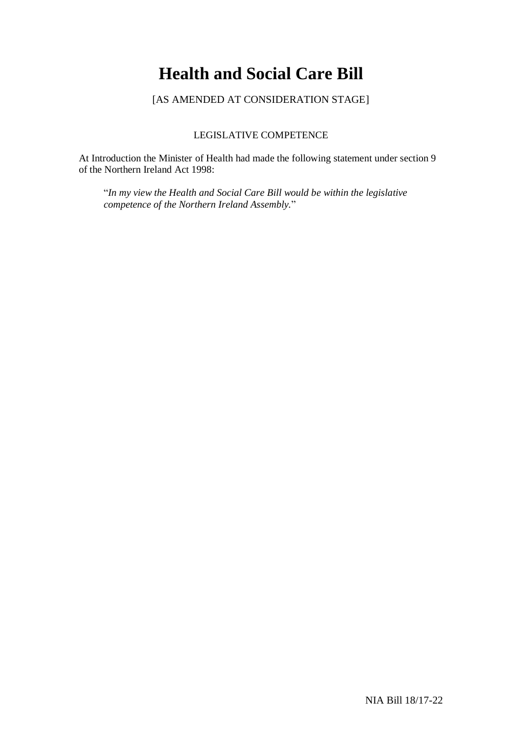# **Health and Social Care Bill**

[AS AMENDED AT CONSIDERATION STAGE]

## LEGISLATIVE COMPETENCE

At Introduction the Minister of Health had made the following statement under section 9 of the Northern Ireland Act 1998:

"*In my view the Health and Social Care Bill would be within the legislative competence of the Northern Ireland Assembly.*"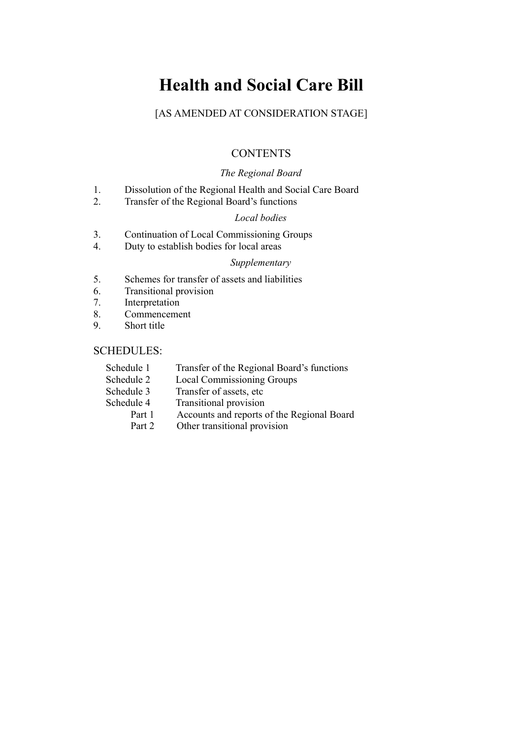# **Health and Social Care Bill**

## [AS AMENDED AT CONSIDERATION STAGE]

## **CONTENTS**

## *The Regional Board*

- 1. Dissolution of the Regional Health and Social Care Board
- 2. Transfer of the Regional Board's functions

## *Local bodies*

- 3. Continuation of Local Commissioning Groups
- 4. Duty to establish bodies for local areas

#### *Supplementary*

- 5. Schemes for transfer of assets and liabilities
- 6. Transitional provision
- 7. Interpretation<br>8. Commenceme
- Commencement
- 9. Short title

## SCHEDULES:

| Schedule 1 | Transfer of the Regional Board's functions |  |
|------------|--------------------------------------------|--|
| Schedule 2 | <b>Local Commissioning Groups</b>          |  |
| Schedule 3 | Transfer of assets, etc.                   |  |
| Schedule 4 | Transitional provision                     |  |
| Part 1     | Accounts and reports of the Regional Board |  |
| Part 2     | Other transitional provision               |  |
|            |                                            |  |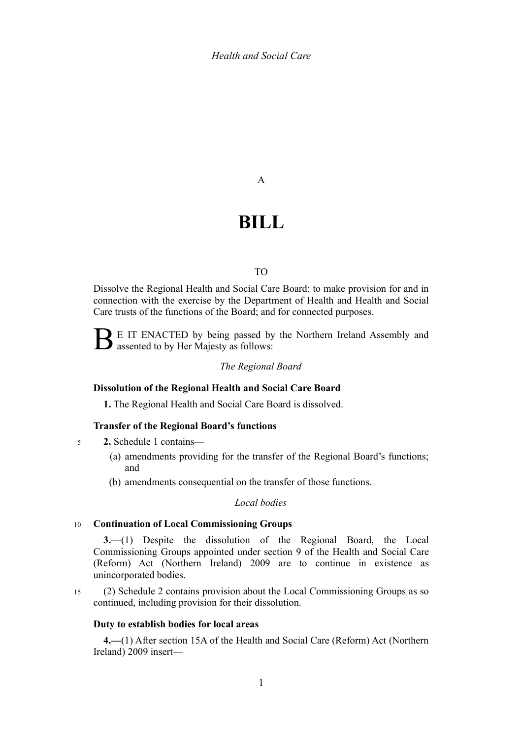A

# **BILL**

#### TO

Dissolve the Regional Health and Social Care Board; to make provision for and in connection with the exercise by the Department of Health and Health and Social Care trusts of the functions of the Board; and for connected purposes.

B E IT ENACTED by being passed by the Northern Ireland Assembly and assented to by Her Majesty as follows:

#### *The Regional Board*

### **Dissolution of the Regional Health and Social Care Board**

<span id="page-4-2"></span>**1.** The Regional Health and Social Care Board is dissolved.

#### **Transfer of the Regional Board's functions**

**2.** Schedule [1](#page--1-0) contains— 5

- <span id="page-4-1"></span>(a) amendments providing for the transfer of the Regional Board's functions; and
- (b) amendments consequential on the transfer of those functions.

#### *Local bodies*

#### **Continuation of Local Commissioning Groups** 10

<span id="page-4-0"></span>**3.—**(1) Despite the dissolution of the Regional Board, the Local Commissioning Groups appointed under section 9 of the Health and Social Care (Reform) Act (Northern Ireland) 2009 are to continue in existence as unincorporated bodies.

(2) Schedule [2](#page--1-0) contains provision about the Local Commissioning Groups as so continued, including provision for their dissolution. 15

#### **Duty to establish bodies for local areas**

<span id="page-4-3"></span>**4.—**(1) After section 15A of the Health and Social Care (Reform) Act (Northern Ireland) 2009 insert—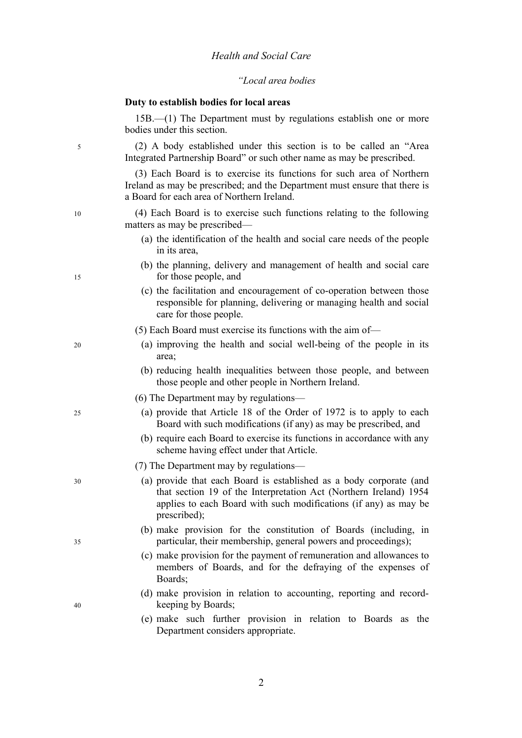#### *"Local area bodies*

#### **Duty to establish bodies for local areas**

15B.—(1) The Department must by regulations establish one or more bodies under this section. (2) A body established under this section is to be called an "Area Integrated Partnership Board" or such other name as may be prescribed. (3) Each Board is to exercise its functions for such area of Northern Ireland as may be prescribed; and the Department must ensure that there is a Board for each area of Northern Ireland. (4) Each Board is to exercise such functions relating to the following matters as may be prescribed— (a) the identification of the health and social care needs of the people in its area, (b) the planning, delivery and management of health and social care for those people, and (c) the facilitation and encouragement of co-operation between those responsible for planning, delivering or managing health and social care for those people. (5) Each Board must exercise its functions with the aim of— (a) improving the health and social well-being of the people in its area; (b) reducing health inequalities between those people, and between those people and other people in Northern Ireland. (6) The Department may by regulations— (a) provide that Article 18 of the Order of 1972 is to apply to each Board with such modifications (if any) as may be prescribed, and (b) require each Board to exercise its functions in accordance with any scheme having effect under that Article. (7) The Department may by regulations— (a) provide that each Board is established as a body corporate (and that section 19 of the Interpretation Act (Northern Ireland) 1954 applies to each Board with such modifications (if any) as may be prescribed); (b) make provision for the constitution of Boards (including, in particular, their membership, general powers and proceedings); (c) make provision for the payment of remuneration and allowances to members of Boards, and for the defraying of the expenses of Boards; (d) make provision in relation to accounting, reporting and recordkeeping by Boards; 5 10 15 20 25 30 35 40

(e) make such further provision in relation to Boards as the Department considers appropriate.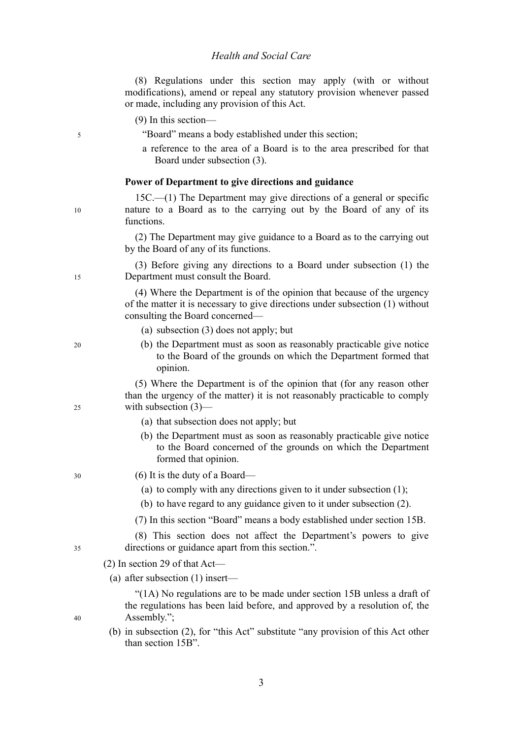|    | (8) Regulations under this section may apply (with or without<br>modifications), amend or repeal any statutory provision whenever passed<br>or made, including any provision of this Act.  |
|----|--------------------------------------------------------------------------------------------------------------------------------------------------------------------------------------------|
|    | $(9)$ In this section—                                                                                                                                                                     |
| 5  | "Board" means a body established under this section;                                                                                                                                       |
|    | a reference to the area of a Board is to the area prescribed for that<br>Board under subsection (3).                                                                                       |
|    | Power of Department to give directions and guidance                                                                                                                                        |
| 10 | $15C$ — $(1)$ The Department may give directions of a general or specific<br>nature to a Board as to the carrying out by the Board of any of its<br>functions.                             |
|    | (2) The Department may give guidance to a Board as to the carrying out<br>by the Board of any of its functions.                                                                            |
| 15 | (3) Before giving any directions to a Board under subsection (1) the<br>Department must consult the Board.                                                                                 |
|    | (4) Where the Department is of the opinion that because of the urgency<br>of the matter it is necessary to give directions under subsection (1) without<br>consulting the Board concerned— |
|    | (a) subsection $(3)$ does not apply; but                                                                                                                                                   |
| 20 | (b) the Department must as soon as reasonably practicable give notice<br>to the Board of the grounds on which the Department formed that<br>opinion.                                       |
| 25 | (5) Where the Department is of the opinion that (for any reason other<br>than the urgency of the matter) it is not reasonably practicable to comply<br>with subsection $(3)$ —             |
|    | (a) that subsection does not apply; but                                                                                                                                                    |
|    | (b) the Department must as soon as reasonably practicable give notice<br>to the Board concerned of the grounds on which the Department<br>formed that opinion.                             |
| 30 | $(6)$ It is the duty of a Board—                                                                                                                                                           |
|    | (a) to comply with any directions given to it under subsection (1);                                                                                                                        |
|    | (b) to have regard to any guidance given to it under subsection (2).                                                                                                                       |
|    | (7) In this section "Board" means a body established under section 15B.                                                                                                                    |
| 35 | (8) This section does not affect the Department's powers to give<br>directions or guidance apart from this section.".                                                                      |
|    | $(2)$ In section 29 of that Act—                                                                                                                                                           |
|    | (a) after subsection $(1)$ insert—                                                                                                                                                         |
| 40 | "(1A) No regulations are to be made under section 15B unless a draft of<br>the regulations has been laid before, and approved by a resolution of, the<br>Assembly.";                       |
|    | (b) in subsection (2), for "this Act" substitute "any provision of this Act other<br>than section 15B".                                                                                    |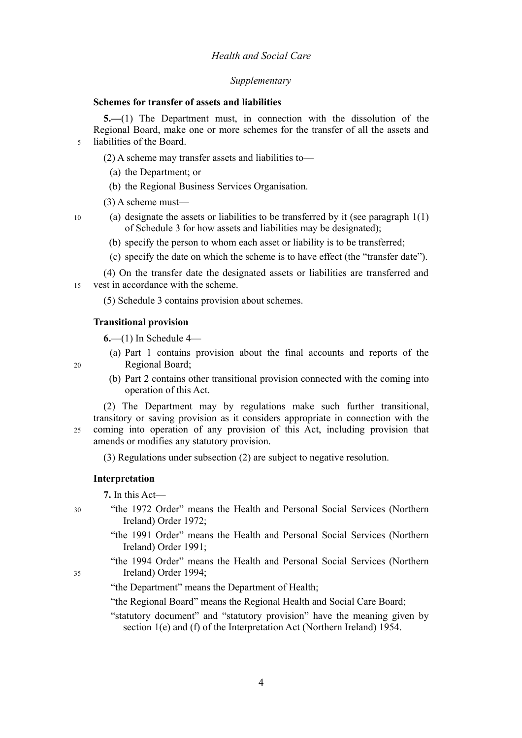### *Health and Social Care*

#### *Supplementary*

#### <span id="page-7-1"></span>**Schemes for transfer of assets and liabilities**

**5.—**(1) The Department must, in connection with the dissolution of the Regional Board, make one or more schemes for the transfer of all the assets and liabilities of the Board. 5

(2) A scheme may transfer assets and liabilities to—

- (a) the Department; or
- (b) the Regional Business Services Organisation.
- (3) A scheme must—
- (a) designate the assets or liabilities to be transferred by it (see paragraph 1(1) of Schedule [3](#page--1-0) for how assets and liabilities may be designated);
	- (b) specify the person to whom each asset or liability is to be transferred;
	- (c) specify the date on which the scheme is to have effect (the "transfer date").

(4) On the transfer date the designated assets or liabilities are transferred and vest in accordance with the scheme. 15

(5) Schedule [3](#page--1-0) contains provision about schemes.

#### **Transitional provision**

<span id="page-7-0"></span>**6.**—(1) In Schedule [4—](#page--1-0)

- (a) Part 1 contains provision about the final accounts and reports of the Regional Board;
- (b) Part 2 contains other transitional provision connected with the coming into operation of this Act.

(2) The Department may by regulations make such further transitional, transitory or saving provision as it considers appropriate in connection with the coming into operation of any provision of this Act, including provision that amends or modifies any statutory provision. 25

(3) Regulations under subsection (2) are subject to negative resolution.

#### **Interpretation**

**7.** In this Act—

- "the 1972 Order" means the Health and Personal Social Services (Northern Ireland) Order 1972;
	- "the 1991 Order" means the Health and Personal Social Services (Northern Ireland) Order 1991;
	- "the 1994 Order" means the Health and Personal Social Services (Northern Ireland) Order 1994;
	- "the Department" means the Department of Health;
	- "the Regional Board" means the Regional Health and Social Care Board;
	- "statutory document" and "statutory provision" have the meaning given by section 1(e) and (f) of the Interpretation Act (Northern Ireland) 1954.

30

10

20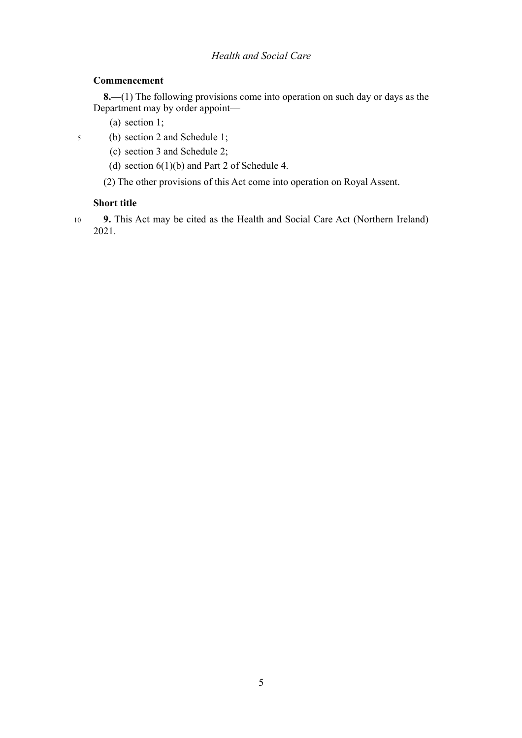## *Health and Social Care*

## **Commencement**

**8.—**(1) The following provisions come into operation on such day or days as the Department may by order appoint—

(a) section [1;](#page-4-2)

- (b) section [2](#page-4-1) and Schedule [1;](#page--1-0) 5
	- (c) section [3](#page-4-0) and Schedule [2;](#page--1-0)
	- (d) section  $6(1)(b)$  and Part 2 of Schedule [4.](#page--1-0)

(2) The other provisions of this Act come into operation on Royal Assent.

## **Short title**

**9.** This Act may be cited as the Health and Social Care Act (Northern Ireland) 2021. 10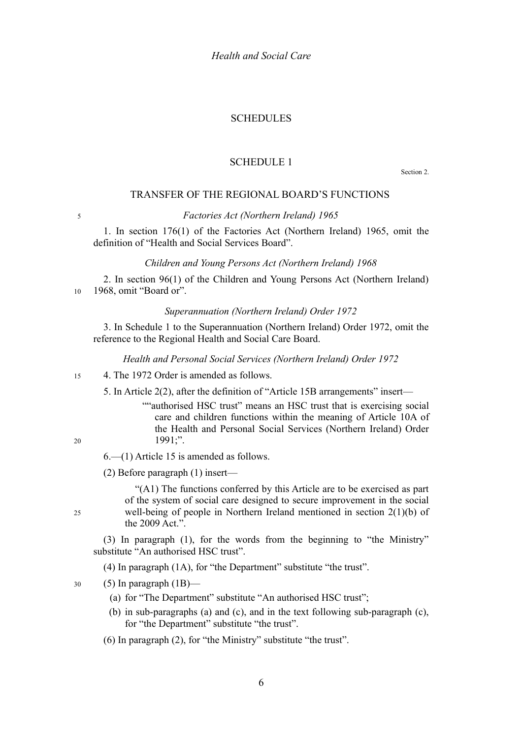#### SCHEDULES

### <span id="page-9-0"></span>SCHEDULE 1

Section [2.](#page-4-1)

#### TRANSFER OF THE REGIONAL BOARD'S FUNCTIONS

5

#### *Factories Act (Northern Ireland) 1965*

1. In section 176(1) of the Factories Act (Northern Ireland) 1965, omit the definition of "Health and Social Services Board".

#### *Children and Young Persons Act (Northern Ireland) 1968*

2. In section 96(1) of the Children and Young Persons Act (Northern Ireland) 1968, omit "Board or". 10

#### *Superannuation (Northern Ireland) Order 1972*

3. In Schedule 1 to the Superannuation (Northern Ireland) Order 1972, omit the reference to the Regional Health and Social Care Board.

*Health and Personal Social Services (Northern Ireland) Order 1972*

#### 4. The 1972 Order is amended as follows. 15

5. In Article 2(2), after the definition of "Article 15B arrangements" insert—

""authorised HSC trust" means an HSC trust that is exercising social care and children functions within the meaning of Article 10A of the Health and Personal Social Services (Northern Ireland) Order 1991;".

20

 $25$ 

6.—(1) Article 15 is amended as follows.

(2) Before paragraph (1) insert—

"(A1) The functions conferred by this Article are to be exercised as part of the system of social care designed to secure improvement in the social well-being of people in Northern Ireland mentioned in section 2(1)(b) of the 2009 Act.".

(3) In paragraph (1), for the words from the beginning to "the Ministry" substitute "An authorised HSC trust".

(4) In paragraph (1A), for "the Department" substitute "the trust".

(5) In paragraph  $(1B)$ — 30

- (a) for "The Department" substitute "An authorised HSC trust";
- (b) in sub-paragraphs (a) and (c), and in the text following sub-paragraph (c), for "the Department" substitute "the trust".
- (6) In paragraph (2), for "the Ministry" substitute "the trust".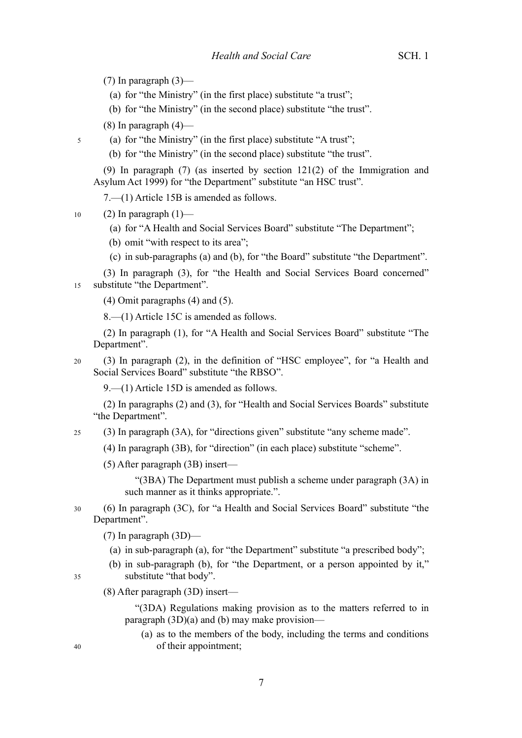(7) In paragraph (3)—

- (a) for "the Ministry" (in the first place) substitute "a trust";
- (b) for "the Ministry" (in the second place) substitute "the trust".

 $(8)$  In paragraph  $(4)$ —

- (a) for "the Ministry" (in the first place) substitute "A trust";
- (b) for "the Ministry" (in the second place) substitute "the trust".

(9) In paragraph (7) (as inserted by section 121(2) of the Immigration and Asylum Act 1999) for "the Department" substitute "an HSC trust".

7.—(1) Article 15B is amended as follows.

(2) In paragraph  $(1)$ — 10

5

(a) for "A Health and Social Services Board" substitute "The Department";

(b) omit "with respect to its area";

- (c) in sub-paragraphs (a) and (b), for "the Board" substitute "the Department".
- (3) In paragraph (3), for "the Health and Social Services Board concerned" substitute "the Department". 15
	- (4) Omit paragraphs (4) and (5).

8.—(1) Article 15C is amended as follows.

(2) In paragraph (1), for "A Health and Social Services Board" substitute "The Department".

(3) In paragraph (2), in the definition of "HSC employee", for "a Health and Social Services Board" substitute "the RBSO". 20

9.—(1) Article 15D is amended as follows.

(2) In paragraphs (2) and (3), for "Health and Social Services Boards" substitute "the Department".

(3) In paragraph (3A), for "directions given" substitute "any scheme made". 25

(4) In paragraph (3B), for "direction" (in each place) substitute "scheme".

(5) After paragraph (3B) insert—

"(3BA) The Department must publish a scheme under paragraph (3A) in such manner as it thinks appropriate.".

(6) In paragraph (3C), for "a Health and Social Services Board" substitute "the Department". 30

(7) In paragraph (3D)—

- (a) in sub-paragraph (a), for "the Department" substitute "a prescribed body";
- (b) in sub-paragraph (b), for "the Department, or a person appointed by it," substitute "that body".

(8) After paragraph (3D) insert—

"(3DA) Regulations making provision as to the matters referred to in paragraph (3D)(a) and (b) may make provision—

(a) as to the members of the body, including the terms and conditions of their appointment;

40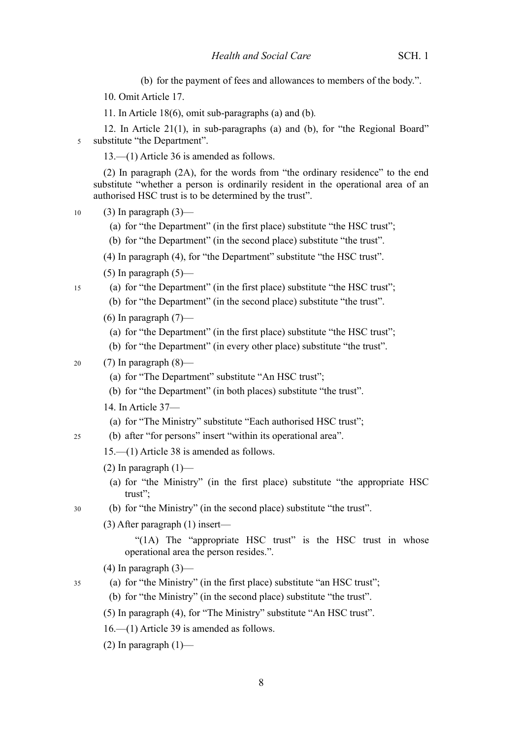(b) for the payment of fees and allowances to members of the body.".

10. Omit Article 17.

11. In Article 18(6), omit sub-paragraphs (a) and (b)*.*

12. In Article 21(1), in sub-paragraphs (a) and (b), for "the Regional Board" substitute "the Department". 5

13.—(1) Article 36 is amended as follows.

(2) In paragraph (2A), for the words from "the ordinary residence" to the end substitute "whether a person is ordinarily resident in the operational area of an authorised HSC trust is to be determined by the trust".

 $(3)$  In paragraph  $(3)$ — 10

15

 $25$ 

35

- (a) for "the Department" (in the first place) substitute "the HSC trust";
- (b) for "the Department" (in the second place) substitute "the trust".

(4) In paragraph (4), for "the Department" substitute "the HSC trust".

- (5) In paragraph  $(5)$ —
- (a) for "the Department" (in the first place) substitute "the HSC trust";
	- (b) for "the Department" (in the second place) substitute "the trust".
	- (6) In paragraph  $(7)$ 
		- (a) for "the Department" (in the first place) substitute "the HSC trust";
		- (b) for "the Department" (in every other place) substitute "the trust".
- (7) In paragraph (8)— 20
	- (a) for "The Department" substitute "An HSC trust";
	- (b) for "the Department" (in both places) substitute "the trust".
	- 14. In Article 37—
	- (a) for "The Ministry" substitute "Each authorised HSC trust";
	- (b) after "for persons" insert "within its operational area".

15.—(1) Article 38 is amended as follows.

- (2) In paragraph  $(1)$ 
	- (a) for "the Ministry" (in the first place) substitute "the appropriate HSC trust";
- (b) for "the Ministry" (in the second place) substitute "the trust". 30
	- (3) After paragraph (1) insert—

"(1A) The "appropriate HSC trust" is the HSC trust in whose operational area the person resides.".

- $(4)$  In paragraph  $(3)$ —
- (a) for "the Ministry" (in the first place) substitute "an HSC trust";

(b) for "the Ministry" (in the second place) substitute "the trust".

- (5) In paragraph (4), for "The Ministry" substitute "An HSC trust".
- 16.—(1) Article 39 is amended as follows.
- (2) In paragraph  $(1)$ —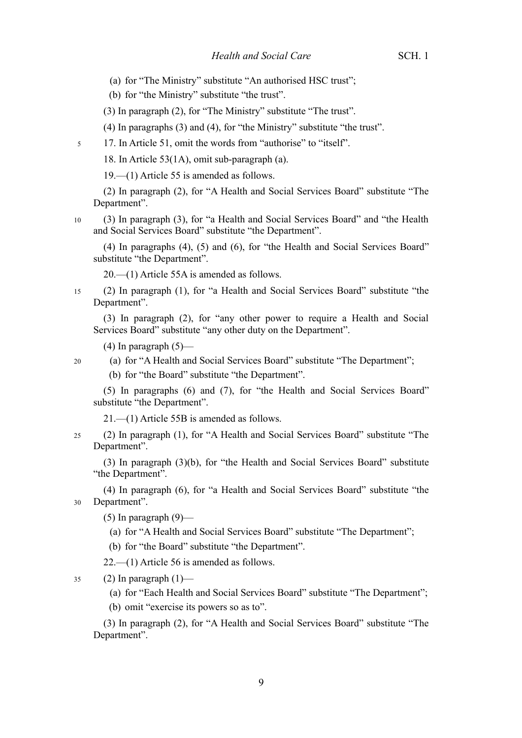- (a) for "The Ministry" substitute "An authorised HSC trust";
- (b) for "the Ministry" substitute "the trust".
- (3) In paragraph (2), for "The Ministry" substitute "The trust".

(4) In paragraphs (3) and (4), for "the Ministry" substitute "the trust".

17. In Article 51, omit the words from "authorise" to "itself". 5

18. In Article 53(1A), omit sub-paragraph (a).

19.—(1) Article 55 is amended as follows.

(2) In paragraph (2), for "A Health and Social Services Board" substitute "The Department".

(3) In paragraph (3), for "a Health and Social Services Board" and "the Health and Social Services Board" substitute "the Department". 10

(4) In paragraphs (4), (5) and (6), for "the Health and Social Services Board" substitute "the Department".

20.—(1) Article 55A is amended as follows.

(2) In paragraph (1), for "a Health and Social Services Board" substitute "the Department". 15

(3) In paragraph (2), for "any other power to require a Health and Social Services Board" substitute "any other duty on the Department".

 $(4)$  In paragraph  $(5)$ —

- 20
- (a) for "A Health and Social Services Board" substitute "The Department";
- (b) for "the Board" substitute "the Department".

(5) In paragraphs (6) and (7), for "the Health and Social Services Board" substitute "the Department".

21.—(1) Article 55B is amended as follows.

(2) In paragraph (1), for "A Health and Social Services Board" substitute "The Department". 25

(3) In paragraph (3)(b), for "the Health and Social Services Board" substitute "the Department".

(4) In paragraph (6), for "a Health and Social Services Board" substitute "the Department". 30

(5) In paragraph  $(9)$ —

- (a) for "A Health and Social Services Board" substitute "The Department";
- (b) for "the Board" substitute "the Department".

22.—(1) Article 56 is amended as follows.

(2) In paragraph  $(1)$ — 35

(a) for "Each Health and Social Services Board" substitute "The Department";

(b) omit "exercise its powers so as to".

(3) In paragraph (2), for "A Health and Social Services Board" substitute "The Department".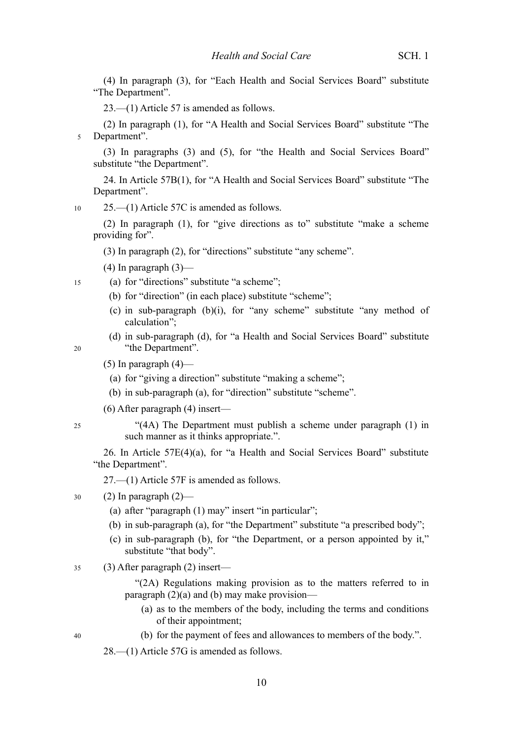(4) In paragraph (3), for "Each Health and Social Services Board" substitute "The Department".

23.—(1) Article 57 is amended as follows.

(2) In paragraph (1), for "A Health and Social Services Board" substitute "The Department". 5

(3) In paragraphs (3) and (5), for "the Health and Social Services Board" substitute "the Department".

24. In Article 57B(1), for "A Health and Social Services Board" substitute "The Department".

25.—(1) Article 57C is amended as follows. 10

(2) In paragraph (1), for "give directions as to" substitute "make a scheme providing for".

(3) In paragraph (2), for "directions" substitute "any scheme".

 $(4)$  In paragraph  $(3)$ —

(a) for "directions" substitute "a scheme";

- (b) for "direction" (in each place) substitute "scheme";
- (c) in sub-paragraph (b)(i), for "any scheme" substitute "any method of calculation";
- (d) in sub-paragraph (d), for "a Health and Social Services Board" substitute "the Department".
- $(5)$  In paragraph  $(4)$ 
	- (a) for "giving a direction" substitute "making a scheme";
	- (b) in sub-paragraph (a), for "direction" substitute "scheme".
- (6) After paragraph (4) insert—

"(4A) The Department must publish a scheme under paragraph (1) in such manner as it thinks appropriate.".

26. In Article 57E(4)(a), for "a Health and Social Services Board" substitute "the Department".

27.—(1) Article 57F is amended as follows.

#### $(2)$  In paragraph  $(2)$ — 30

- (a) after "paragraph (1) may" insert "in particular";
- (b) in sub-paragraph (a), for "the Department" substitute "a prescribed body";
- (c) in sub-paragraph (b), for "the Department, or a person appointed by it," substitute "that body".
- (3) After paragraph (2) insert— 35
	- "(2A) Regulations making provision as to the matters referred to in paragraph (2)(a) and (b) may make provision—
		- (a) as to the members of the body, including the terms and conditions of their appointment;
		- (b) for the payment of fees and allowances to members of the body.".

28.—(1) Article 57G is amended as follows.

25

40

- 
- $20$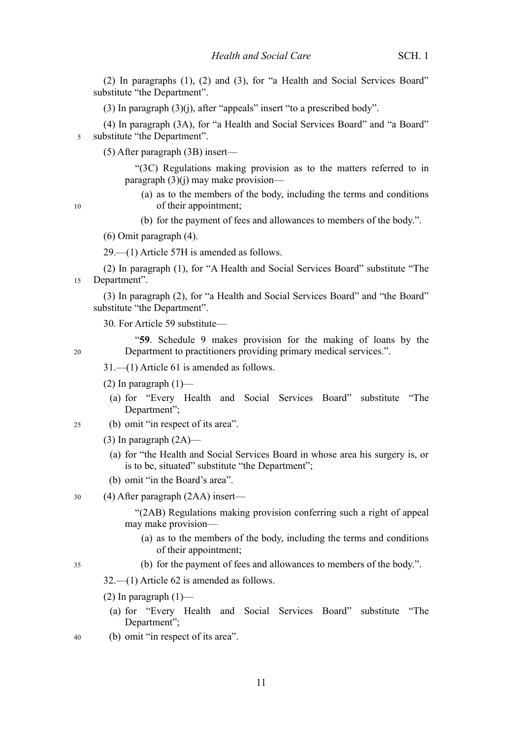(2) In paragraphs (1), (2) and (3), for "a Health and Social Services Board" substitute "the Department".

(3) In paragraph (3)(j), after "appeals" insert "to a prescribed body".

(4) In paragraph (3A), for "a Health and Social Services Board" and "a Board" substitute "the Department". 5

(5) After paragraph (3B) insert—

"(3C) Regulations making provision as to the matters referred to in paragraph  $(3)(i)$  may make provision—

(a) as to the members of the body, including the terms and conditions of their appointment;

(b) for the payment of fees and allowances to members of the body.".

(6) Omit paragraph (4).

29.—(1) Article 57H is amended as follows.

(2) In paragraph (1), for "A Health and Social Services Board" substitute "The Department".

(3) In paragraph (2), for "a Health and Social Services Board" and "the Board" substitute "the Department".

30. For Article 59 substitute—

"**59**. Schedule 9 makes provision for the making of loans by the Department to practitioners providing primary medical services.".

31.—(1) Article 61 is amended as follows.

- (2) In paragraph  $(1)$ 
	- (a) for "Every Health and Social Services Board" substitute "The Department";
- (b) omit "in respect of its area". 25
	- $(3)$  In paragraph  $(2A)$ 
		- (a) for "the Health and Social Services Board in whose area his surgery is, or is to be, situated" substitute "the Department";
	- (b) omit "in the Board's area".

#### (4) After paragraph (2AA) insert— 30

"(2AB) Regulations making provision conferring such a right of appeal may make provision—

- (a) as to the members of the body, including the terms and conditions of their appointment;
- (b) for the payment of fees and allowances to members of the body.".

32.—(1) Article 62 is amended as follows.

- $(2)$  In paragraph  $(1)$ 
	- (a) for "Every Health and Social Services Board" substitute "The Department";
- (b) omit "in respect of its area". 40

35

10

15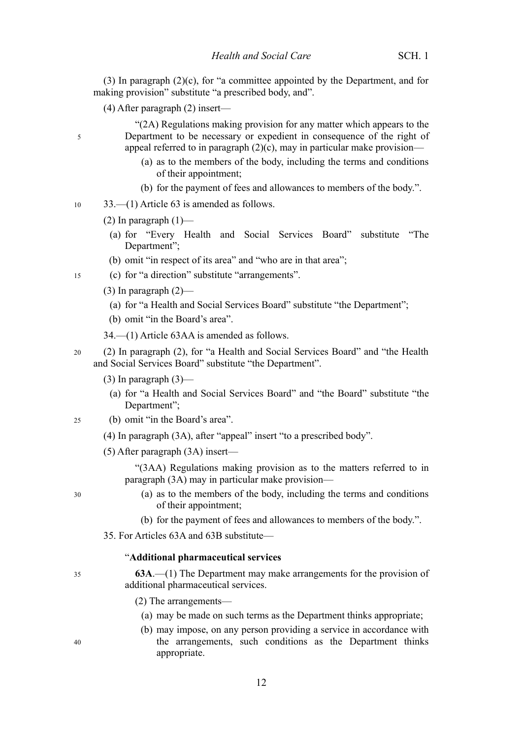(3) In paragraph (2)(c), for "a committee appointed by the Department, and for making provision" substitute "a prescribed body, and".

(4) After paragraph (2) insert—

"(2A) Regulations making provision for any matter which appears to the Department to be necessary or expedient in consequence of the right of appeal referred to in paragraph  $(2)(c)$ , may in particular make provision—

- (a) as to the members of the body, including the terms and conditions of their appointment;
- (b) for the payment of fees and allowances to members of the body.".

33.—(1) Article 63 is amended as follows. 10

- (2) In paragraph  $(1)$ 
	- (a) for "Every Health and Social Services Board" substitute "The Department":
	- (b) omit "in respect of its area" and "who are in that area";
- (c) for "a direction" substitute "arrangements". 15
	- (3) In paragraph  $(2)$ 
		- (a) for "a Health and Social Services Board" substitute "the Department";
		- (b) omit "in the Board's area".
	- 34.—(1) Article 63AA is amended as follows.
- (2) In paragraph (2), for "a Health and Social Services Board" and "the Health and Social Services Board" substitute "the Department". 20
	- $(3)$  In paragraph  $(3)$ 
		- (a) for "a Health and Social Services Board" and "the Board" substitute "the Department";
- (b) omit "in the Board's area". 25
	- (4) In paragraph (3A), after "appeal" insert "to a prescribed body".
	- (5) After paragraph (3A) insert—

"(3AA) Regulations making provision as to the matters referred to in paragraph (3A) may in particular make provision—

30

35

40

5

- (a) as to the members of the body, including the terms and conditions of their appointment;
- (b) for the payment of fees and allowances to members of the body.".
- 35. For Articles 63A and 63B substitute—

#### "**Additional pharmaceutical services**

- **63A**.—(1) The Department may make arrangements for the provision of additional pharmaceutical services.
	- (2) The arrangements—
		- (a) may be made on such terms as the Department thinks appropriate;
		- (b) may impose, on any person providing a service in accordance with the arrangements, such conditions as the Department thinks appropriate.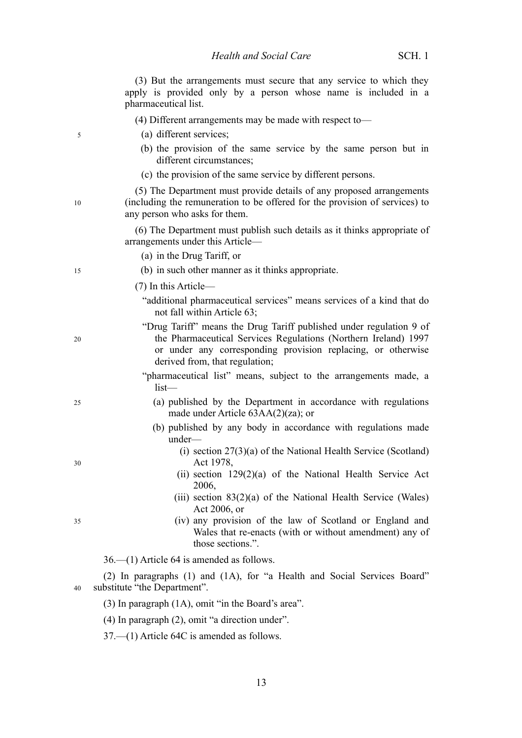|    | (3) But the arrangements must secure that any service to which they<br>apply is provided only by a person whose name is included in a<br>pharmaceutical list.                                                                            |
|----|------------------------------------------------------------------------------------------------------------------------------------------------------------------------------------------------------------------------------------------|
|    | $(4)$ Different arrangements may be made with respect to-                                                                                                                                                                                |
| 5  | (a) different services;                                                                                                                                                                                                                  |
|    | (b) the provision of the same service by the same person but in<br>different circumstances;                                                                                                                                              |
|    | (c) the provision of the same service by different persons.                                                                                                                                                                              |
| 10 | (5) The Department must provide details of any proposed arrangements<br>(including the remuneration to be offered for the provision of services) to<br>any person who asks for them.                                                     |
|    | (6) The Department must publish such details as it thinks appropriate of<br>arrangements under this Article—                                                                                                                             |
|    | (a) in the Drug Tariff, or                                                                                                                                                                                                               |
| 15 | (b) in such other manner as it thinks appropriate.                                                                                                                                                                                       |
|    | $(7)$ In this Article—                                                                                                                                                                                                                   |
|    | "additional pharmaceutical services" means services of a kind that do<br>not fall within Article 63;                                                                                                                                     |
| 20 | "Drug Tariff" means the Drug Tariff published under regulation 9 of<br>the Pharmaceutical Services Regulations (Northern Ireland) 1997<br>or under any corresponding provision replacing, or otherwise<br>derived from, that regulation; |
|    | "pharmaceutical list" means, subject to the arrangements made, a<br>$list$ —                                                                                                                                                             |
| 25 | (a) published by the Department in accordance with regulations<br>made under Article 63AA(2)(za); or                                                                                                                                     |
|    | (b) published by any body in accordance with regulations made<br>under-                                                                                                                                                                  |
| 30 | (i) section $27(3)(a)$ of the National Health Service (Scotland)<br>Act 1978,                                                                                                                                                            |
|    | (ii) section 129(2)(a) of the National Health Service Act<br>2006,                                                                                                                                                                       |
|    | (iii) section $83(2)(a)$ of the National Health Service (Wales)<br>Act 2006, or                                                                                                                                                          |
| 35 | (iv) any provision of the law of Scotland or England and<br>Wales that re-enacts (with or without amendment) any of<br>those sections.".                                                                                                 |
|    | $36.$ (1) Article 64 is amended as follows.                                                                                                                                                                                              |
| 40 | (2) In paragraphs (1) and (1A), for "a Health and Social Services Board"<br>substitute "the Department".                                                                                                                                 |
|    | $(3)$ In paragraph $(1A)$ , omit "in the Board's area".                                                                                                                                                                                  |

(4) In paragraph (2), omit "a direction under".

37.—(1) Article 64C is amended as follows.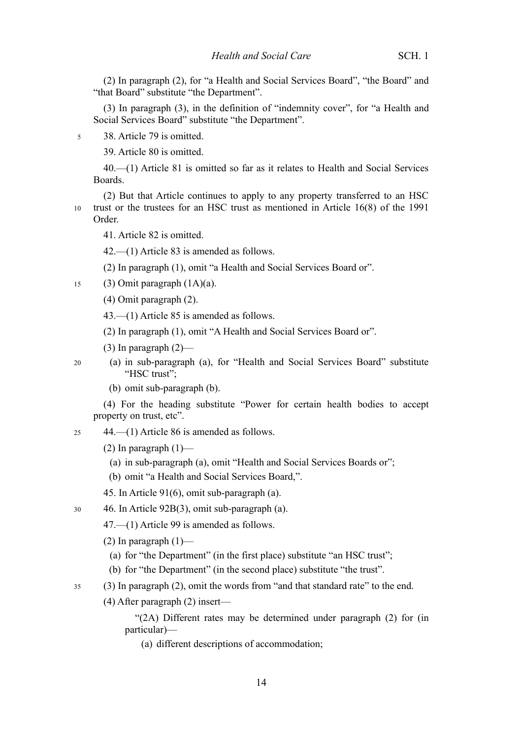(2) In paragraph (2), for "a Health and Social Services Board", "the Board" and "that Board" substitute "the Department".

(3) In paragraph (3), in the definition of "indemnity cover", for "a Health and Social Services Board" substitute "the Department".

38. Article 79 is omitted. 5

39. Article 80 is omitted.

40.—(1) Article 81 is omitted so far as it relates to Health and Social Services Boards.

(2) But that Article continues to apply to any property transferred to an HSC trust or the trustees for an HSC trust as mentioned in Article 16(8) of the 1991 Order. 10

41. Article 82 is omitted.

42.—(1) Article 83 is amended as follows.

(2) In paragraph (1), omit "a Health and Social Services Board or".

- (3) Omit paragraph (1A)(a). 15
	- (4) Omit paragraph (2).

43.—(1) Article 85 is amended as follows.

(2) In paragraph (1), omit "A Health and Social Services Board or".

 $(3)$  In paragraph  $(2)$ —

20

(a) in sub-paragraph (a), for "Health and Social Services Board" substitute "HSC trust";

(b) omit sub-paragraph (b).

(4) For the heading substitute "Power for certain health bodies to accept property on trust, etc".

44.—(1) Article 86 is amended as follows. 25

(2) In paragraph  $(1)$ —

- (a) in sub-paragraph (a), omit "Health and Social Services Boards or";
- (b) omit "a Health and Social Services Board,".

46. In Article 92B(3), omit sub-paragraph (a). 30

47.—(1) Article 99 is amended as follows.

(2) In paragraph  $(1)$ —

- (a) for "the Department" (in the first place) substitute "an HSC trust";
- (b) for "the Department" (in the second place) substitute "the trust".
- (3) In paragraph (2), omit the words from "and that standard rate" to the end. 35
	- (4) After paragraph (2) insert—

"(2A) Different rates may be determined under paragraph (2) for (in particular)—

(a) different descriptions of accommodation;

<sup>45.</sup> In Article 91(6), omit sub-paragraph (a).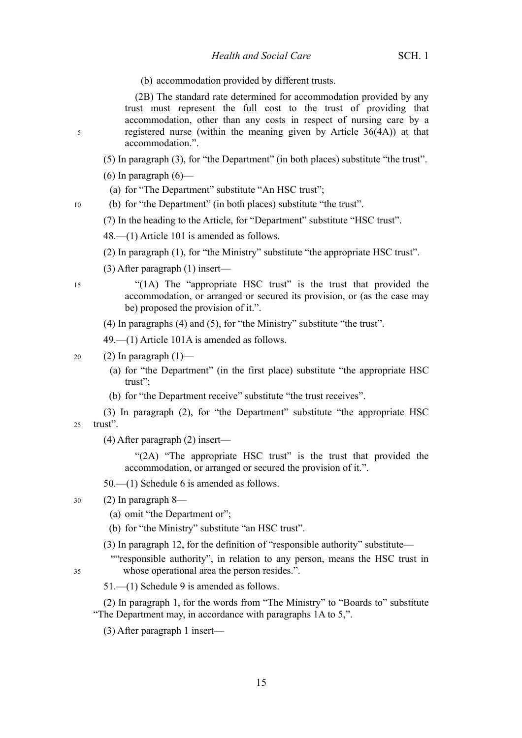#### *Health and Social Care* SCH. 1

(b) accommodation provided by different trusts.

(2B) The standard rate determined for accommodation provided by any trust must represent the full cost to the trust of providing that accommodation, other than any costs in respect of nursing care by a registered nurse (within the meaning given by Article 36(4A)) at that accommodation.".

(5) In paragraph (3), for "the Department" (in both places) substitute "the trust".

 $(6)$  In paragraph  $(6)$ —

(a) for "The Department" substitute "An HSC trust";

(b) for "the Department" (in both places) substitute "the trust".

(7) In the heading to the Article, for "Department" substitute "HSC trust".

48.—(1) Article 101 is amended as follows.

(2) In paragraph (1), for "the Ministry" substitute "the appropriate HSC trust".

(3) After paragraph (1) insert—

15

5

10

"(1A) The "appropriate HSC trust" is the trust that provided the accommodation, or arranged or secured its provision, or (as the case may be) proposed the provision of it.".

(4) In paragraphs (4) and (5), for "the Ministry" substitute "the trust".

49.—(1) Article 101A is amended as follows.

#### (2) In paragraph  $(1)$ — 20

- (a) for "the Department" (in the first place) substitute "the appropriate HSC trust";
- (b) for "the Department receive" substitute "the trust receives".

(3) In paragraph (2), for "the Department" substitute "the appropriate HSC trust". 25

(4) After paragraph (2) insert—

"(2A) "The appropriate HSC trust" is the trust that provided the accommodation, or arranged or secured the provision of it.".

50.—(1) Schedule 6 is amended as follows.

#### (2) In paragraph 8— 30

- (a) omit "the Department or";
- (b) for "the Ministry" substitute "an HSC trust".
- (3) In paragraph 12, for the definition of "responsible authority" substitute—

""responsible authority", in relation to any person, means the HSC trust in whose operational area the person resides.".

35

51.—(1) Schedule 9 is amended as follows.

(2) In paragraph 1, for the words from "The Ministry" to "Boards to" substitute "The Department may, in accordance with paragraphs 1A to 5,".

(3) After paragraph 1 insert—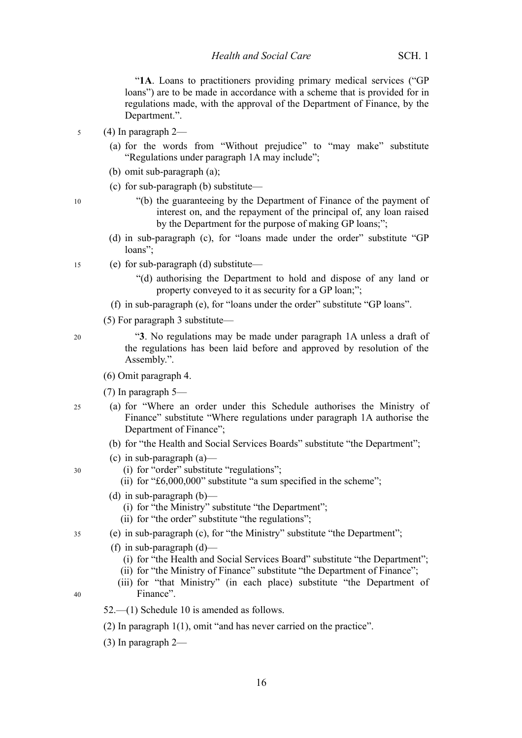"1A. Loans to practitioners providing primary medical services ("GP loans") are to be made in accordance with a scheme that is provided for in regulations made, with the approval of the Department of Finance, by the Department.".

- (4) In paragraph 2— 5
	- (a) for the words from "Without prejudice" to "may make" substitute "Regulations under paragraph 1A may include";
	- (b) omit sub-paragraph (a);
	- (c) for sub-paragraph (b) substitute—

10

- "(b) the guaranteeing by the Department of Finance of the payment of interest on, and the repayment of the principal of, any loan raised by the Department for the purpose of making GP loans;";
- (d) in sub-paragraph (c), for "loans made under the order" substitute "GP loans";
- (e) for sub-paragraph (d) substitute— 15
	- "(d) authorising the Department to hold and dispose of any land or property conveyed to it as security for a GP loan;";
	- (f) in sub-paragraph (e), for "loans under the order" substitute "GP loans".
	- (5) For paragraph 3 substitute—

20

30

40

"**3**. No regulations may be made under paragraph 1A unless a draft of the regulations has been laid before and approved by resolution of the Assembly.".

- (6) Omit paragraph 4.
- (7) In paragraph 5—
- (a) for "Where an order under this Schedule authorises the Ministry of Finance" substitute "Where regulations under paragraph 1A authorise the Department of Finance"; 25
	- (b) for "the Health and Social Services Boards" substitute "the Department";
	- (c) in sub-paragraph (a)—
		- (i) for "order" substitute "regulations";
		- (ii) for "£6,000,000" substitute "a sum specified in the scheme";
	- (d) in sub-paragraph  $(b)$ 
		- (i) for "the Ministry" substitute "the Department";
		- (ii) for "the order" substitute "the regulations";
- (e) in sub-paragraph (c), for "the Ministry" substitute "the Department"; 35
	- (f) in sub-paragraph  $(d)$ 
		- (i) for "the Health and Social Services Board" substitute "the Department";
		- (ii) for "the Ministry of Finance" substitute "the Department of Finance";
		- (iii) for "that Ministry" (in each place) substitute "the Department of Finance".
	- 52.—(1) Schedule 10 is amended as follows.
	- (2) In paragraph 1(1), omit "and has never carried on the practice".
	- (3) In paragraph 2—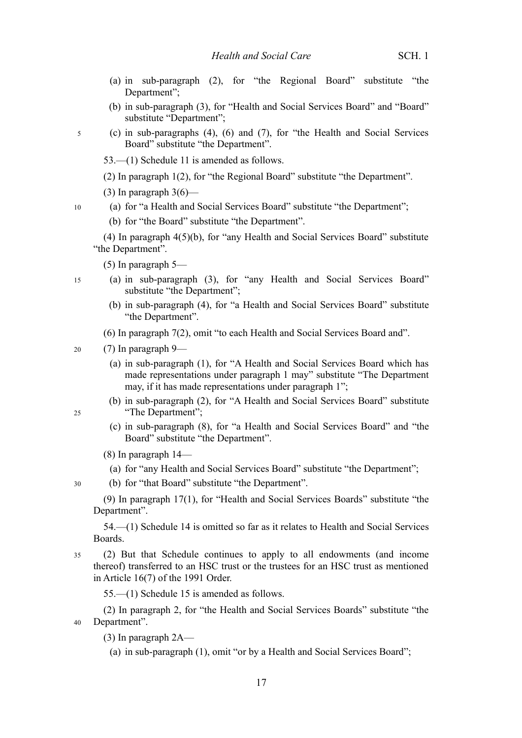- (a) in sub-paragraph (2), for "the Regional Board" substitute "the Department";
- (b) in sub-paragraph (3), for "Health and Social Services Board" and "Board" substitute "Department";
- (c) in sub-paragraphs (4), (6) and (7), for "the Health and Social Services Board" substitute "the Department".

53.—(1) Schedule 11 is amended as follows.

(2) In paragraph 1(2), for "the Regional Board" substitute "the Department".

(3) In paragraph  $3(6)$ —

(a) for "a Health and Social Services Board" substitute "the Department";

(b) for "the Board" substitute "the Department".

(4) In paragraph 4(5)(b), for "any Health and Social Services Board" substitute "the Department".

(5) In paragraph 5—

- (a) in sub-paragraph (3), for "any Health and Social Services Board" substitute "the Department";
	- (b) in sub-paragraph (4), for "a Health and Social Services Board" substitute "the Department".
	- (6) In paragraph 7(2), omit "to each Health and Social Services Board and".

(7) In paragraph 9— 20

- (a) in sub-paragraph (1), for "A Health and Social Services Board which has made representations under paragraph 1 may" substitute "The Department may, if it has made representations under paragraph 1";
- (b) in sub-paragraph (2), for "A Health and Social Services Board" substitute "The Department";

25

30

5

10

15

- (c) in sub-paragraph (8), for "a Health and Social Services Board" and "the Board" substitute "the Department".
- (8) In paragraph 14—
	- (a) for "any Health and Social Services Board" substitute "the Department";
- (b) for "that Board" substitute "the Department".

(9) In paragraph 17(1), for "Health and Social Services Boards" substitute "the Department".

54.—(1) Schedule 14 is omitted so far as it relates to Health and Social Services Boards.

(2) But that Schedule continues to apply to all endowments (and income thereof) transferred to an HSC trust or the trustees for an HSC trust as mentioned in Article 16(7) of the 1991 Order. 35

55.—(1) Schedule 15 is amended as follows.

(2) In paragraph 2, for "the Health and Social Services Boards" substitute "the Department". 40

- (3) In paragraph 2A—
	- (a) in sub-paragraph (1), omit "or by a Health and Social Services Board";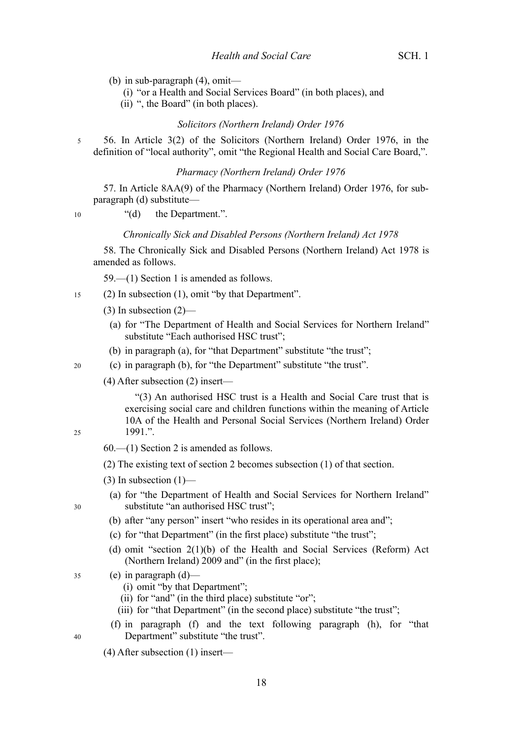- (b) in sub-paragraph (4), omit—
	- (i) "or a Health and Social Services Board" (in both places), and
	- (ii) ", the Board" (in both places).

### *Solicitors (Northern Ireland) Order 1976*

56. In Article 3(2) of the Solicitors (Northern Ireland) Order 1976, in the definition of "local authority", omit "the Regional Health and Social Care Board,". 5

#### *Pharmacy (Northern Ireland) Order 1976*

57. In Article 8AA(9) of the Pharmacy (Northern Ireland) Order 1976, for subparagraph (d) substitute—

10

#### "(d) the Department.".

### *Chronically Sick and Disabled Persons (Northern Ireland) Act 1978*

58. The Chronically Sick and Disabled Persons (Northern Ireland) Act 1978 is amended as follows.

59.—(1) Section 1 is amended as follows.

- (2) In subsection (1), omit "by that Department". 15
	- $(3)$  In subsection  $(2)$ 
		- (a) for "The Department of Health and Social Services for Northern Ireland" substitute "Each authorised HSC trust";
	- (b) in paragraph (a), for "that Department" substitute "the trust";
	- (c) in paragraph (b), for "the Department" substitute "the trust".
	- (4) After subsection (2) insert—

"(3) An authorised HSC trust is a Health and Social Care trust that is exercising social care and children functions within the meaning of Article 10A of the Health and Personal Social Services (Northern Ireland) Order 1991.".

- 25
- 60.—(1) Section 2 is amended as follows.
- (2) The existing text of section 2 becomes subsection (1) of that section.
- $(3)$  In subsection  $(1)$ —
- (a) for "the Department of Health and Social Services for Northern Ireland" substitute "an authorised HSC trust";
- 30

40

#### (b) after "any person" insert "who resides in its operational area and";

- (c) for "that Department" (in the first place) substitute "the trust";
- (d) omit "section 2(1)(b) of the Health and Social Services (Reform) Act (Northern Ireland) 2009 and" (in the first place);
- (e) in paragraph (d)— 35
	- (i) omit "by that Department";
	- (ii) for "and" (in the third place) substitute "or";
	- (iii) for "that Department" (in the second place) substitute "the trust";
	- (f) in paragraph (f) and the text following paragraph (h), for "that Department" substitute "the trust".
	- (4) After subsection (1) insert—
- $20$
-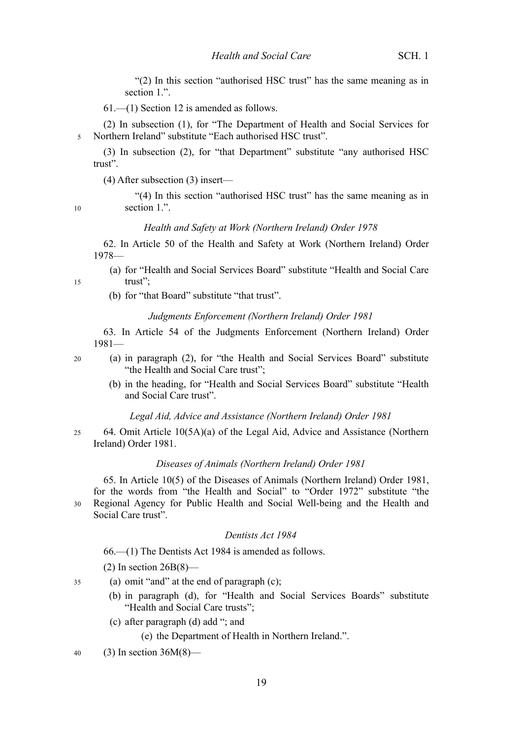"(2) In this section "authorised HSC trust" has the same meaning as in section 1.".

61.—(1) Section 12 is amended as follows.

(2) In subsection (1), for "The Department of Health and Social Services for Northern Ireland" substitute "Each authorised HSC trust". 5

(3) In subsection (2), for "that Department" substitute "any authorised HSC trust".

(4) After subsection (3) insert—

"(4) In this section "authorised HSC trust" has the same meaning as in section 1.".

#### *Health and Safety at Work (Northern Ireland) Order 1978*

62. In Article 50 of the Health and Safety at Work (Northern Ireland) Order 1978—

(a) for "Health and Social Services Board" substitute "Health and Social Care trust";

(b) for "that Board" substitute "that trust".

#### *Judgments Enforcement (Northern Ireland) Order 1981*

63. In Article 54 of the Judgments Enforcement (Northern Ireland) Order 1981—

- (a) in paragraph (2), for "the Health and Social Services Board" substitute "the Health and Social Care trust";
	- (b) in the heading, for "Health and Social Services Board" substitute "Health and Social Care trust".

#### *Legal Aid, Advice and Assistance (Northern Ireland) Order 1981*

64. Omit Article 10(5A)(a) of the Legal Aid, Advice and Assistance (Northern Ireland) Order 1981. 25

#### *Diseases of Animals (Northern Ireland) Order 1981*

65. In Article 10(5) of the Diseases of Animals (Northern Ireland) Order 1981, for the words from "the Health and Social" to "Order 1972" substitute "the Regional Agency for Public Health and Social Well-being and the Health and Social Care trust". 30

#### *Dentists Act 1984*

66.—(1) The Dentists Act 1984 is amended as follows.

 $(2)$  In section  $26B(8)$ —

- (a) omit "and" at the end of paragraph (c); 35
	- (b) in paragraph (d), for "Health and Social Services Boards" substitute "Health and Social Care trusts";
	- (c) after paragraph (d) add "; and

(e) the Department of Health in Northern Ireland.".

 $(3)$  In section 36M $(8)$ — 40

10

15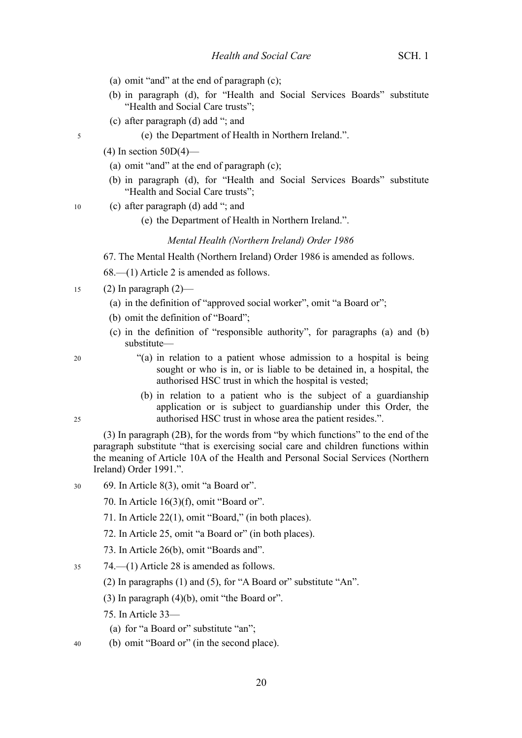- (a) omit "and" at the end of paragraph (c);
- (b) in paragraph (d), for "Health and Social Services Boards" substitute "Health and Social Care trusts";
- (c) after paragraph (d) add "; and
	- (e) the Department of Health in Northern Ireland.".
- $(4)$  In section 50D $(4)$ 
	- (a) omit "and" at the end of paragraph (c);
	- (b) in paragraph (d), for "Health and Social Services Boards" substitute "Health and Social Care trusts";
- (c) after paragraph (d) add "; and 10
	- (e) the Department of Health in Northern Ireland.".

#### *Mental Health (Northern Ireland) Order 1986*

67. The Mental Health (Northern Ireland) Order 1986 is amended as follows.

- 68.—(1) Article 2 is amended as follows.
- $(2)$  In paragraph  $(2)$  15
	- (a) in the definition of "approved social worker", omit "a Board or";
	- (b) omit the definition of "Board";
	- (c) in the definition of "responsible authority", for paragraphs (a) and (b) substitute—
		- "(a) in relation to a patient whose admission to a hospital is being sought or who is in, or is liable to be detained in, a hospital, the authorised HSC trust in which the hospital is vested;
		- (b) in relation to a patient who is the subject of a guardianship application or is subject to guardianship under this Order, the authorised HSC trust in whose area the patient resides.".

(3) In paragraph (2B), for the words from "by which functions" to the end of the paragraph substitute "that is exercising social care and children functions within the meaning of Article 10A of the Health and Personal Social Services (Northern Ireland) Order 1991.".

- 69. In Article 8(3), omit "a Board or". 30
	- 70. In Article 16(3)(f), omit "Board or".
	- 71. In Article 22(1), omit "Board," (in both places).
	- 72. In Article 25, omit "a Board or" (in both places).
	- 73. In Article 26(b), omit "Boards and".
- 74.—(1) Article 28 is amended as follows. 35
	- (2) In paragraphs (1) and (5), for "A Board or" substitute "An".
	- (3) In paragraph (4)(b), omit "the Board or".
	- 75. In Article 33—
		- (a) for "a Board or" substitute "an";
- (b) omit "Board or" (in the second place). 40

20

5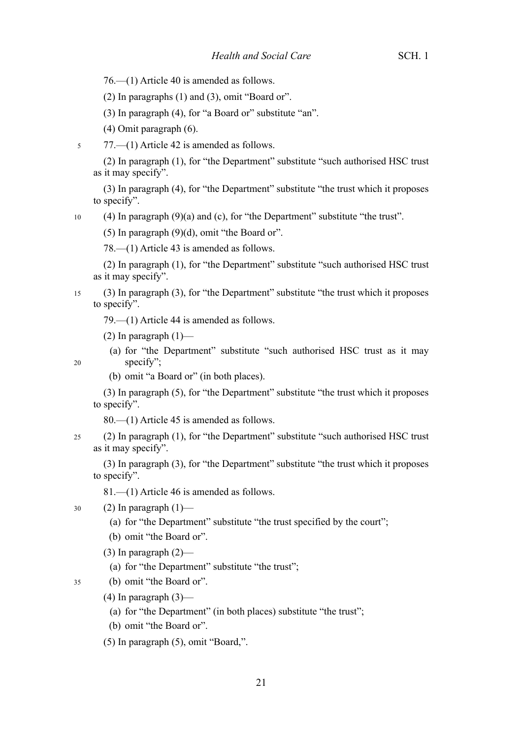76.—(1) Article 40 is amended as follows.

(2) In paragraphs (1) and (3), omit "Board or".

(3) In paragraph (4), for "a Board or" substitute "an".

(4) Omit paragraph (6).

77.—(1) Article 42 is amended as follows. 5

(2) In paragraph (1), for "the Department" substitute "such authorised HSC trust as it may specify".

(3) In paragraph (4), for "the Department" substitute "the trust which it proposes to specify".

(4) In paragraph (9)(a) and (c), for "the Department" substitute "the trust". 10

(5) In paragraph (9)(d), omit "the Board or".

78.—(1) Article 43 is amended as follows.

(2) In paragraph (1), for "the Department" substitute "such authorised HSC trust as it may specify".

(3) In paragraph (3), for "the Department" substitute "the trust which it proposes to specify". 15

79.—(1) Article 44 is amended as follows.

(2) In paragraph  $(1)$ —

20

35

(a) for "the Department" substitute "such authorised HSC trust as it may specify";

(b) omit "a Board or" (in both places).

(3) In paragraph (5), for "the Department" substitute "the trust which it proposes to specify".

80.—(1) Article 45 is amended as follows.

(2) In paragraph (1), for "the Department" substitute "such authorised HSC trust as it may specify". 25

(3) In paragraph (3), for "the Department" substitute "the trust which it proposes to specify".

81.—(1) Article 46 is amended as follows.

(2) In paragraph  $(1)$ — 30

(a) for "the Department" substitute "the trust specified by the court";

(b) omit "the Board or".

 $(3)$  In paragraph  $(2)$ —

(a) for "the Department" substitute "the trust";

(b) omit "the Board or".

 $(4)$  In paragraph  $(3)$ —

(a) for "the Department" (in both places) substitute "the trust";

(b) omit "the Board or".

(5) In paragraph (5), omit "Board,".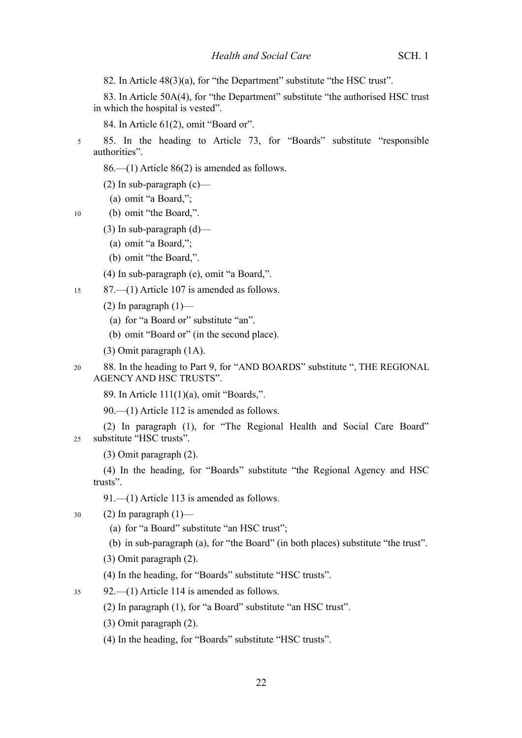82. In Article 48(3)(a), for "the Department" substitute "the HSC trust".

83. In Article 50A(4), for "the Department" substitute "the authorised HSC trust in which the hospital is vested".

84. In Article 61(2), omit "Board or".

- 85. In the heading to Article 73, for "Boards" substitute "responsible authorities". 5
	- 86.—(1) Article 86(2) is amended as follows.
	- (2) In sub-paragraph  $(c)$ 
		- (a) omit "a Board,";

(b) omit "the Board,". 10

- $(3)$  In sub-paragraph  $(d)$ 
	- (a) omit "a Board,";
	- (b) omit "the Board,".

(4) In sub-paragraph (e), omit "a Board,".

- 87.—(1) Article 107 is amended as follows. 15
	- (2) In paragraph  $(1)$ 
		- (a) for "a Board or" substitute "an".
		- (b) omit "Board or" (in the second place).
	- (3) Omit paragraph (1A).
- 88. In the heading to Part 9, for "AND BOARDS" substitute ", THE REGIONAL AGENCY AND HSC TRUSTS". 20
	- 89. In Article 111(1)(a), omit "Boards,".

90.—(1) Article 112 is amended as follows.

(2) In paragraph (1), for "The Regional Health and Social Care Board" substitute "HSC trusts".  $25$ 

(3) Omit paragraph (2).

(4) In the heading, for "Boards" substitute "the Regional Agency and HSC trusts".

91.—(1) Article 113 is amended as follows.

(2) In paragraph  $(1)$ — 30

- (a) for "a Board" substitute "an HSC trust";
- (b) in sub-paragraph (a), for "the Board" (in both places) substitute "the trust".
- (3) Omit paragraph (2).
- (4) In the heading, for "Boards" substitute "HSC trusts".

92.—(1) Article 114 is amended as follows. 35

- (2) In paragraph (1), for "a Board" substitute "an HSC trust".
- (3) Omit paragraph (2).
- (4) In the heading, for "Boards" substitute "HSC trusts".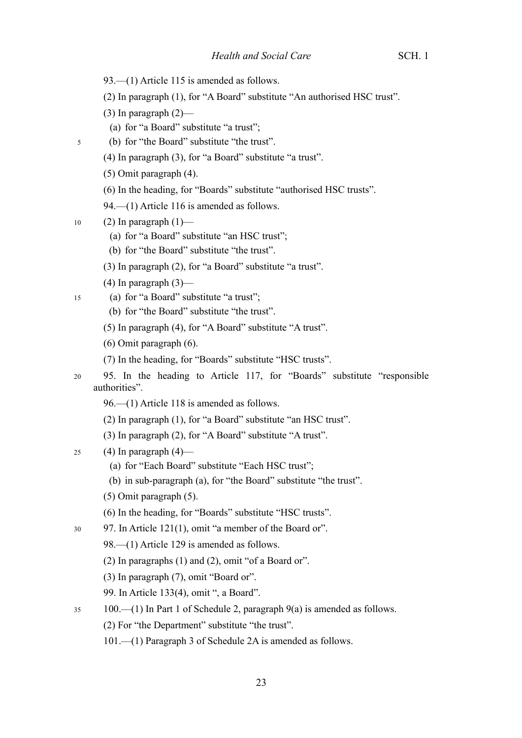- 93.—(1) Article 115 is amended as follows.
- (2) In paragraph (1), for "A Board" substitute "An authorised HSC trust".
- $(3)$  In paragraph  $(2)$ 
	- (a) for "a Board" substitute "a trust";
- (b) for "the Board" substitute "the trust".
	- (4) In paragraph (3), for "a Board" substitute "a trust".
	- (5) Omit paragraph (4).
	- (6) In the heading, for "Boards" substitute "authorised HSC trusts".
	- 94.—(1) Article 116 is amended as follows.
- (2) In paragraph  $(1)$  10

- (a) for "a Board" substitute "an HSC trust";
- (b) for "the Board" substitute "the trust".
- (3) In paragraph (2), for "a Board" substitute "a trust".
- $(4)$  In paragraph  $(3)$ —
- (a) for "a Board" substitute "a trust"; 15
	- (b) for "the Board" substitute "the trust".
	- (5) In paragraph (4), for "A Board" substitute "A trust".
	- (6) Omit paragraph (6).
	- (7) In the heading, for "Boards" substitute "HSC trusts".
- 95. In the heading to Article 117, for "Boards" substitute "responsible authorities". 20
	- 96.—(1) Article 118 is amended as follows.
	- (2) In paragraph (1), for "a Board" substitute "an HSC trust".
	- (3) In paragraph (2), for "A Board" substitute "A trust".
- $(4)$  In paragraph  $(4)$  25
	- (a) for "Each Board" substitute "Each HSC trust";
	- (b) in sub-paragraph (a), for "the Board" substitute "the trust".
	- (5) Omit paragraph (5).
	- (6) In the heading, for "Boards" substitute "HSC trusts".
- 97. In Article 121(1), omit "a member of the Board or". 30
	- 98.—(1) Article 129 is amended as follows.
	- (2) In paragraphs (1) and (2), omit "of a Board or".
	- (3) In paragraph (7), omit "Board or".
	- 99. In Article 133(4), omit ", a Board".
- 100.—(1) In Part 1 of Schedule 2, paragraph 9(a) is amended as follows. 35
	- (2) For "the Department" substitute "the trust".
	- 101.—(1) Paragraph 3 of Schedule 2A is amended as follows.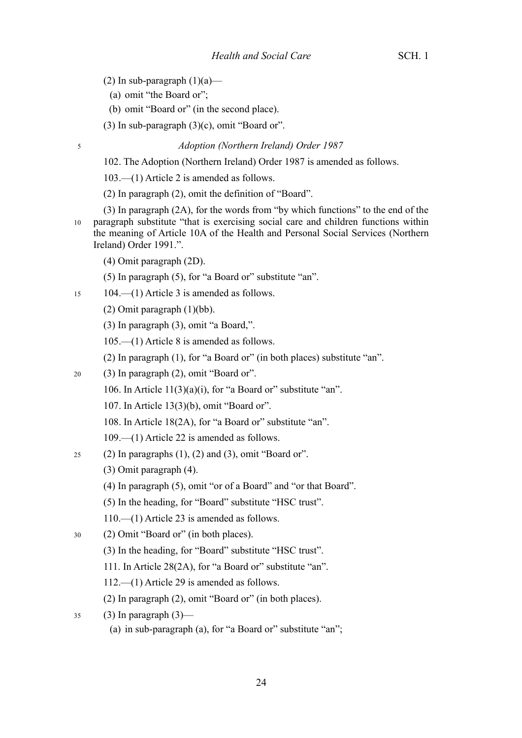- (2) In sub-paragraph  $(1)(a)$ 
	- (a) omit "the Board or";

- (b) omit "Board or" (in the second place).
- (3) In sub-paragraph  $(3)(c)$ , omit "Board or".

*Adoption (Northern Ireland) Order 1987*

102. The Adoption (Northern Ireland) Order 1987 is amended as follows.

103.—(1) Article 2 is amended as follows.

(2) In paragraph (2), omit the definition of "Board".

- (3) In paragraph (2A), for the words from "by which functions" to the end of the paragraph substitute "that is exercising social care and children functions within the meaning of Article 10A of the Health and Personal Social Services (Northern Ireland) Order 1991.". 10
	- (4) Omit paragraph (2D).

(5) In paragraph (5), for "a Board or" substitute "an".

- 104.—(1) Article 3 is amended as follows. 15
	- (2) Omit paragraph (1)(bb).

(3) In paragraph (3), omit "a Board,".

105.—(1) Article 8 is amended as follows.

(2) In paragraph (1), for "a Board or" (in both places) substitute "an".

- (3) In paragraph (2), omit "Board or". 20
	- 106. In Article  $11(3)(a)(i)$ , for "a Board or" substitute "an".
	- 107. In Article 13(3)(b), omit "Board or".
	- 108. In Article 18(2A), for "a Board or" substitute "an".
	- 109.—(1) Article 22 is amended as follows.
- (2) In paragraphs  $(1)$ ,  $(2)$  and  $(3)$ , omit "Board or". 25
	- (3) Omit paragraph (4).
	- (4) In paragraph (5), omit "or of a Board" and "or that Board".
	- (5) In the heading, for "Board" substitute "HSC trust".
	- 110.—(1) Article 23 is amended as follows.
- (2) Omit "Board or" (in both places). 30
	- (3) In the heading, for "Board" substitute "HSC trust".
	- 111. In Article 28(2A), for "a Board or" substitute "an".
	- 112.—(1) Article 29 is amended as follows.
	- (2) In paragraph (2), omit "Board or" (in both places).
- $(3)$  In paragraph  $(3)$  35
	- (a) in sub-paragraph (a), for "a Board or" substitute "an";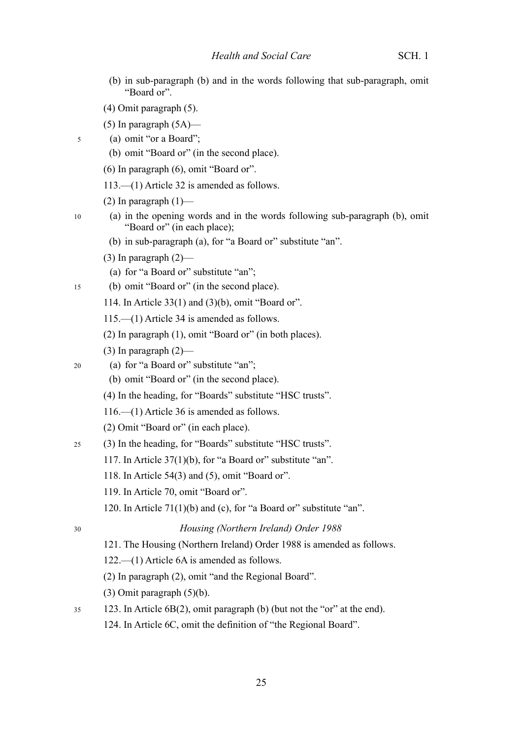- (b) in sub-paragraph (b) and in the words following that sub-paragraph, omit "Board or".
- (4) Omit paragraph (5).
- (5) In paragraph  $(5A)$ —
- (a) omit "or a Board";

10

15

- (b) omit "Board or" (in the second place).
- (6) In paragraph (6), omit "Board or".
- 113.—(1) Article 32 is amended as follows.
- (2) In paragraph  $(1)$ —
- (a) in the opening words and in the words following sub-paragraph (b), omit "Board or" (in each place);
	- (b) in sub-paragraph (a), for "a Board or" substitute "an".
	- $(3)$  In paragraph  $(2)$ —
	- (a) for "a Board or" substitute "an";
- (b) omit "Board or" (in the second place).
	- 114. In Article 33(1) and (3)(b), omit "Board or".
		- 115.—(1) Article 34 is amended as follows.
	- (2) In paragraph (1), omit "Board or" (in both places).
	- $(3)$  In paragraph  $(2)$ —
- (a) for "a Board or" substitute "an"; 20
	- (b) omit "Board or" (in the second place).
	- (4) In the heading, for "Boards" substitute "HSC trusts".
	- 116.—(1) Article 36 is amended as follows.
	- (2) Omit "Board or" (in each place).
- (3) In the heading, for "Boards" substitute "HSC trusts". 25
	- 117. In Article 37(1)(b), for "a Board or" substitute "an".
	- 118. In Article 54(3) and (5), omit "Board or".
	- 119. In Article 70, omit "Board or".
	- 120. In Article 71(1)(b) and (c), for "a Board or" substitute "an".
- 30

#### *Housing (Northern Ireland) Order 1988*

- 121. The Housing (Northern Ireland) Order 1988 is amended as follows.
- 122.—(1) Article 6A is amended as follows.
- (2) In paragraph (2), omit "and the Regional Board".
- (3) Omit paragraph (5)(b).
- 123. In Article 6B(2), omit paragraph (b) (but not the "or" at the end). 35
	- 124. In Article 6C, omit the definition of "the Regional Board".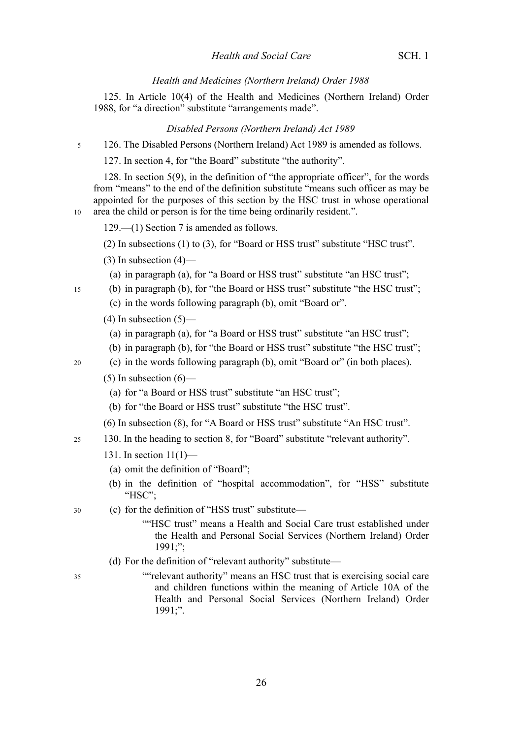### *Health and Medicines (Northern Ireland) Order 1988*

125. In Article 10(4) of the Health and Medicines (Northern Ireland) Order 1988, for "a direction" substitute "arrangements made".

#### *Disabled Persons (Northern Ireland) Act 1989*

126. The Disabled Persons (Northern Ireland) Act 1989 is amended as follows. 5

127. In section 4, for "the Board" substitute "the authority".

128. In section 5(9), in the definition of "the appropriate officer", for the words from "means" to the end of the definition substitute "means such officer as may be appointed for the purposes of this section by the HSC trust in whose operational area the child or person is for the time being ordinarily resident.".

- 129.—(1) Section 7 is amended as follows.
- (2) In subsections (1) to (3), for "Board or HSS trust" substitute "HSC trust".
- $(3)$  In subsection  $(4)$ 
	- (a) in paragraph (a), for "a Board or HSS trust" substitute "an HSC trust";
- (b) in paragraph (b), for "the Board or HSS trust" substitute "the HSC trust";
- (c) in the words following paragraph (b), omit "Board or".
- $(4)$  In subsection  $(5)$ 
	- (a) in paragraph (a), for "a Board or HSS trust" substitute "an HSC trust";
- (b) in paragraph (b), for "the Board or HSS trust" substitute "the HSC trust";
- (c) in the words following paragraph (b), omit "Board or" (in both places).

#### $(5)$  In subsection  $(6)$ —

- (a) for "a Board or HSS trust" substitute "an HSC trust";
- (b) for "the Board or HSS trust" substitute "the HSC trust".
- (6) In subsection (8), for "A Board or HSS trust" substitute "An HSC trust".
- 130. In the heading to section 8, for "Board" substitute "relevant authority". 25
	- 131. In section 11(1)—
		- (a) omit the definition of "Board";
	- (b) in the definition of "hospital accommodation", for "HSS" substitute "HSC":
- (c) for the definition of "HSS trust" substitute— 30
	- ""HSC trust" means a Health and Social Care trust established under the Health and Personal Social Services (Northern Ireland) Order 1991;";
	- (d) For the definition of "relevant authority" substitute—
- 35

10

15

20

""relevant authority" means an HSC trust that is exercising social care and children functions within the meaning of Article 10A of the Health and Personal Social Services (Northern Ireland) Order 1991;".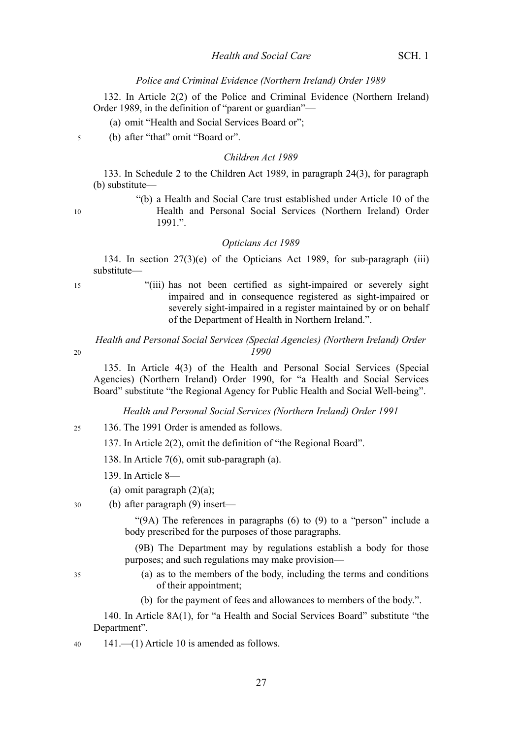#### *Police and Criminal Evidence (Northern Ireland) Order 1989*

132. In Article 2(2) of the Police and Criminal Evidence (Northern Ireland) Order 1989, in the definition of "parent or guardian"—

(a) omit "Health and Social Services Board or";

(b) after "that" omit "Board or".

#### *Children Act 1989*

133. In Schedule 2 to the Children Act 1989, in paragraph 24(3), for paragraph (b) substitute—

10

5

"(b) a Health and Social Care trust established under Article 10 of the Health and Personal Social Services (Northern Ireland) Order 1991.".

#### *Opticians Act 1989*

134. In section 27(3)(e) of the Opticians Act 1989, for sub-paragraph (iii) substitute—

15

20

"(iii) has not been certified as sight-impaired or severely sight impaired and in consequence registered as sight-impaired or severely sight-impaired in a register maintained by or on behalf of the Department of Health in Northern Ireland.".

*Health and Personal Social Services (Special Agencies) (Northern Ireland) Order 1990*

135. In Article 4(3) of the Health and Personal Social Services (Special Agencies) (Northern Ireland) Order 1990, for "a Health and Social Services Board" substitute "the Regional Agency for Public Health and Social Well-being".

*Health and Personal Social Services (Northern Ireland) Order 1991*

- 136. The 1991 Order is amended as follows. 25
	- 137. In Article 2(2), omit the definition of "the Regional Board".
	- 138. In Article 7(6), omit sub-paragraph (a).
	- 139. In Article 8—
	- (a) omit paragraph  $(2)(a)$ ;
	- (b) after paragraph (9) insert—

"(9A) The references in paragraphs (6) to (9) to a "person" include a body prescribed for the purposes of those paragraphs.

(9B) The Department may by regulations establish a body for those purposes; and such regulations may make provision—

35

30

- (a) as to the members of the body, including the terms and conditions of their appointment;
- (b) for the payment of fees and allowances to members of the body.".

140. In Article 8A(1), for "a Health and Social Services Board" substitute "the Department".

141.—(1) Article 10 is amended as follows. 40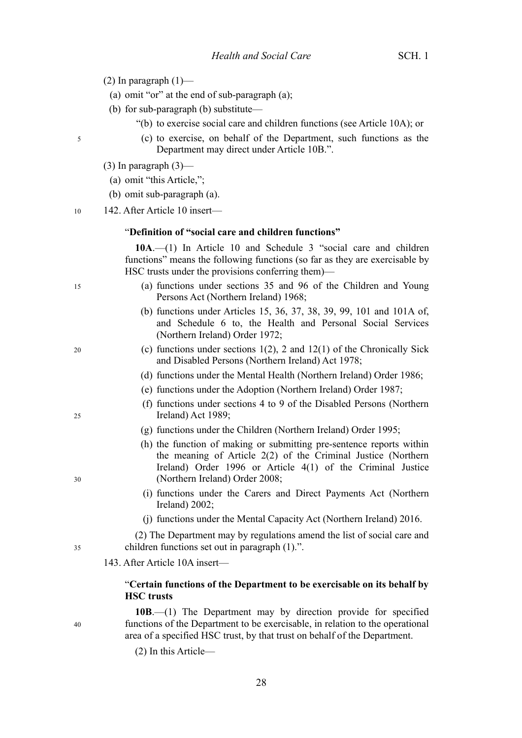- (2) In paragraph  $(1)$ 
	- (a) omit "or" at the end of sub-paragraph (a);
	- (b) for sub-paragraph (b) substitute—
		- "(b) to exercise social care and children functions (see Article 10A); or
			- (c) to exercise, on behalf of the Department, such functions as the Department may direct under Article 10B.".
- $(3)$  In paragraph  $(3)$ —
- (a) omit "this Article,";
- (b) omit sub-paragraph (a).
- 142. After Article 10 insert—

#### "**Definition of "social care and children functions"**

**10A**.—(1) In Article 10 and Schedule 3 "social care and children functions" means the following functions (so far as they are exercisable by HSC trusts under the provisions conferring them)—

- (a) functions under sections 35 and 96 of the Children and Young Persons Act (Northern Ireland) 1968;
- (b) functions under Articles 15, 36, 37, 38, 39, 99, 101 and 101A of, and Schedule 6 to, the Health and Personal Social Services (Northern Ireland) Order 1972;
- (c) functions under sections  $1(2)$ , 2 and  $12(1)$  of the Chronically Sick and Disabled Persons (Northern Ireland) Act 1978;
- (d) functions under the Mental Health (Northern Ireland) Order 1986;
- (e) functions under the Adoption (Northern Ireland) Order 1987;
- (f) functions under sections 4 to 9 of the Disabled Persons (Northern Ireland) Act 1989;
- (g) functions under the Children (Northern Ireland) Order 1995;
- (h) the function of making or submitting pre-sentence reports within the meaning of Article 2(2) of the Criminal Justice (Northern Ireland) Order 1996 or Article 4(1) of the Criminal Justice (Northern Ireland) Order 2008;
- (i) functions under the Carers and Direct Payments Act (Northern Ireland) 2002;
- (j) functions under the Mental Capacity Act (Northern Ireland) 2016.

(2) The Department may by regulations amend the list of social care and children functions set out in paragraph (1).".

143. After Article 10A insert—

#### "**Certain functions of the Department to be exercisable on its behalf by HSC trusts**

**10B**.—(1) The Department may by direction provide for specified functions of the Department to be exercisable, in relation to the operational area of a specified HSC trust, by that trust on behalf of the Department.

(2) In this Article—

28

5

15

10

- 20
- 
- 25

30

- 
- 40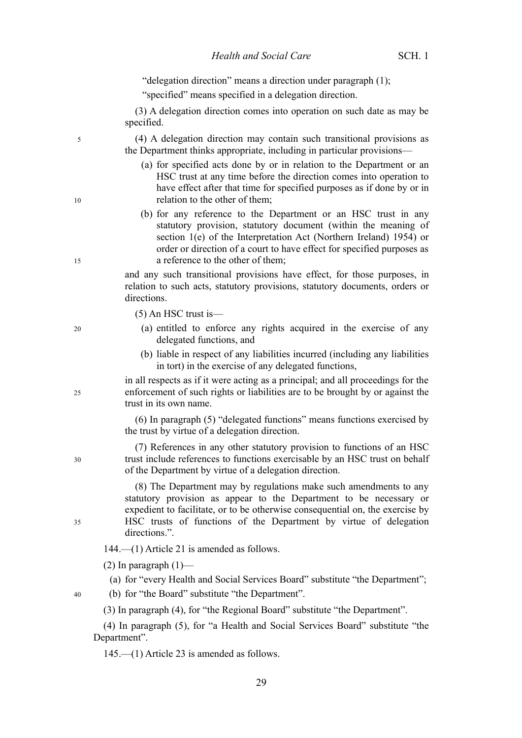|    | "delegation direction" means a direction under paragraph (1);                                                                                                                                                                                                                                                         |
|----|-----------------------------------------------------------------------------------------------------------------------------------------------------------------------------------------------------------------------------------------------------------------------------------------------------------------------|
|    | "specified" means specified in a delegation direction.                                                                                                                                                                                                                                                                |
|    | (3) A delegation direction comes into operation on such date as may be<br>specified.                                                                                                                                                                                                                                  |
| 5  | (4) A delegation direction may contain such transitional provisions as<br>the Department thinks appropriate, including in particular provisions—                                                                                                                                                                      |
| 10 | (a) for specified acts done by or in relation to the Department or an<br>HSC trust at any time before the direction comes into operation to<br>have effect after that time for specified purposes as if done by or in<br>relation to the other of them;                                                               |
| 15 | (b) for any reference to the Department or an HSC trust in any<br>statutory provision, statutory document (within the meaning of<br>section 1(e) of the Interpretation Act (Northern Ireland) 1954) or<br>order or direction of a court to have effect for specified purposes as<br>a reference to the other of them; |
|    | and any such transitional provisions have effect, for those purposes, in<br>relation to such acts, statutory provisions, statutory documents, orders or<br>directions.                                                                                                                                                |
|    | $(5)$ An HSC trust is —                                                                                                                                                                                                                                                                                               |
| 20 | (a) entitled to enforce any rights acquired in the exercise of any<br>delegated functions, and                                                                                                                                                                                                                        |
|    | (b) liable in respect of any liabilities incurred (including any liabilities<br>in tort) in the exercise of any delegated functions,                                                                                                                                                                                  |
| 25 | in all respects as if it were acting as a principal; and all proceedings for the<br>enforcement of such rights or liabilities are to be brought by or against the<br>trust in its own name.                                                                                                                           |
|    | (6) In paragraph (5) "delegated functions" means functions exercised by<br>the trust by virtue of a delegation direction.                                                                                                                                                                                             |
| 30 | (7) References in any other statutory provision to functions of an HSC<br>trust include references to functions exercisable by an HSC trust on behalf<br>of the Department by virtue of a delegation direction.                                                                                                       |
| 35 | (8) The Department may by regulations make such amendments to any<br>statutory provision as appear to the Department to be necessary or<br>expedient to facilitate, or to be otherwise consequential on, the exercise by<br>HSC trusts of functions of the Department by virtue of delegation<br>directions.".        |
|    | $144$ .— $(1)$ Article 21 is amended as follows.                                                                                                                                                                                                                                                                      |
|    | $(2)$ In paragraph $(1)$ —                                                                                                                                                                                                                                                                                            |
|    | (a) for "every Health and Social Services Board" substitute "the Department";                                                                                                                                                                                                                                         |
| 40 | (b) for "the Board" substitute "the Department".                                                                                                                                                                                                                                                                      |
|    | (3) In paragraph (4), for "the Regional Board" substitute "the Department".                                                                                                                                                                                                                                           |
|    | (4) In paragraph (5), for "a Health and Social Services Board" substitute "the<br>Department".                                                                                                                                                                                                                        |

145.—(1) Article 23 is amended as follows.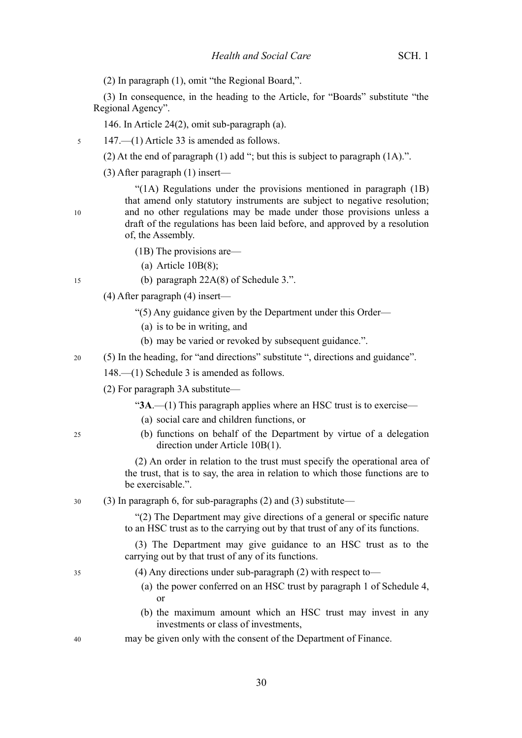(2) In paragraph (1), omit "the Regional Board,".

(3) In consequence, in the heading to the Article, for "Boards" substitute "the Regional Agency".

146. In Article 24(2), omit sub-paragraph (a).

147.—(1) Article 33 is amended as follows.

(2) At the end of paragraph (1) add "; but this is subject to paragraph (1A).".

(3) After paragraph (1) insert—

"(1A) Regulations under the provisions mentioned in paragraph (1B) that amend only statutory instruments are subject to negative resolution; and no other regulations may be made under those provisions unless a draft of the regulations has been laid before, and approved by a resolution of, the Assembly.

- (1B) The provisions are—
	- (a) Article  $10B(8)$ ;
- (b) paragraph 22A(8) of Schedule 3.".
- (4) After paragraph (4) insert—
	- "(5) Any guidance given by the Department under this Order—
		- (a) is to be in writing, and
		- (b) may be varied or revoked by subsequent guidance.".

(5) In the heading, for "and directions" substitute ", directions and guidance". 20

148.—(1) Schedule 3 is amended as follows.

(2) For paragraph 3A substitute—

"**3A**.—(1) This paragraph applies where an HSC trust is to exercise—

- (a) social care and children functions, or
- (b) functions on behalf of the Department by virtue of a delegation direction under Article 10B(1).

(2) An order in relation to the trust must specify the operational area of the trust, that is to say, the area in relation to which those functions are to be exercisable.".

(3) In paragraph 6, for sub-paragraphs (2) and (3) substitute— 30

> "(2) The Department may give directions of a general or specific nature to an HSC trust as to the carrying out by that trust of any of its functions.

> (3) The Department may give guidance to an HSC trust as to the carrying out by that trust of any of its functions.

- (4) Any directions under sub-paragraph (2) with respect to—
	- (a) the power conferred on an HSC trust by paragraph 1 of Schedule 4, or
	- (b) the maximum amount which an HSC trust may invest in any investments or class of investments,
- may be given only with the consent of the Department of Finance. 40

15

 $25$ 

35

10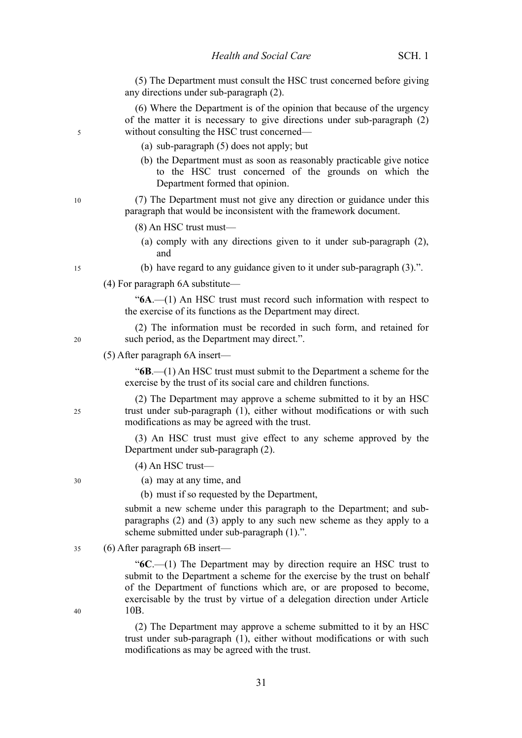(5) The Department must consult the HSC trust concerned before giving any directions under sub-paragraph (2).

(6) Where the Department is of the opinion that because of the urgency of the matter it is necessary to give directions under sub-paragraph (2) without consulting the HSC trust concerned—

- (a) sub-paragraph (5) does not apply; but
- (b) the Department must as soon as reasonably practicable give notice to the HSC trust concerned of the grounds on which the Department formed that opinion.

(7) The Department must not give any direction or guidance under this paragraph that would be inconsistent with the framework document.

- (8) An HSC trust must—
	- (a) comply with any directions given to it under sub-paragraph (2), and
- (b) have regard to any guidance given to it under sub-paragraph (3).".
- (4) For paragraph 6A substitute—

"**6A**.—(1) An HSC trust must record such information with respect to the exercise of its functions as the Department may direct.

(2) The information must be recorded in such form, and retained for such period, as the Department may direct.".

(5) After paragraph 6A insert—

"**6B**.—(1) An HSC trust must submit to the Department a scheme for the exercise by the trust of its social care and children functions.

(2) The Department may approve a scheme submitted to it by an HSC trust under sub-paragraph (1), either without modifications or with such modifications as may be agreed with the trust.

(3) An HSC trust must give effect to any scheme approved by the Department under sub-paragraph (2).

(4) An HSC trust—

(a) may at any time, and

(b) must if so requested by the Department,

submit a new scheme under this paragraph to the Department; and subparagraphs (2) and (3) apply to any such new scheme as they apply to a scheme submitted under sub-paragraph (1).".

(6) After paragraph 6B insert— 35

> "**6C**.—(1) The Department may by direction require an HSC trust to submit to the Department a scheme for the exercise by the trust on behalf of the Department of functions which are, or are proposed to become, exercisable by the trust by virtue of a delegation direction under Article 10B.

> (2) The Department may approve a scheme submitted to it by an HSC trust under sub-paragraph (1), either without modifications or with such modifications as may be agreed with the trust.

10

15

5

25

30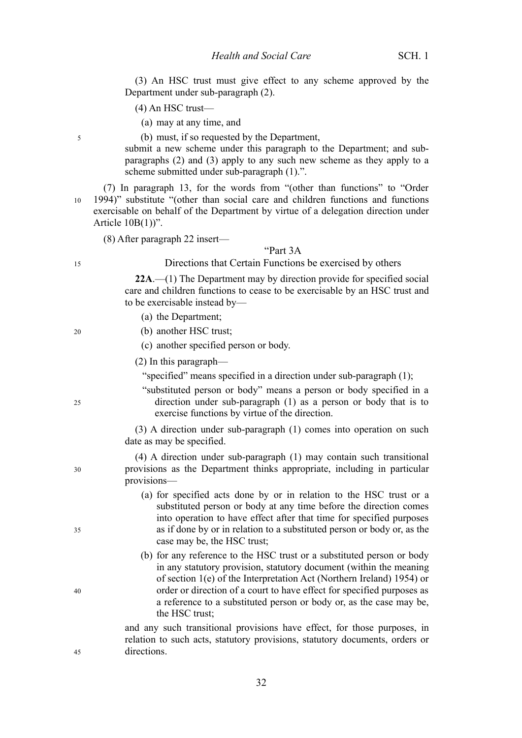(3) An HSC trust must give effect to any scheme approved by the Department under sub-paragraph (2).

- (4) An HSC trust—
	- (a) may at any time, and

(b) must, if so requested by the Department,

submit a new scheme under this paragraph to the Department; and subparagraphs (2) and (3) apply to any such new scheme as they apply to a scheme submitted under sub-paragraph (1).".

(7) In paragraph 13, for the words from "(other than functions" to "Order 1994)" substitute "(other than social care and children functions and functions exercisable on behalf of the Department by virtue of a delegation direction under Article  $10B(1)$ ". 10

(8) After paragraph 22 insert—

#### "Part 3A

Directions that Certain Functions be exercised by others

**22A**.—(1) The Department may by direction provide for specified social care and children functions to cease to be exercisable by an HSC trust and to be exercisable instead by—

- (a) the Department;
- (b) another HSC trust;
- (c) another specified person or body.
- (2) In this paragraph—

"specified" means specified in a direction under sub-paragraph (1);

"substituted person or body" means a person or body specified in a direction under sub-paragraph (1) as a person or body that is to exercise functions by virtue of the direction.

(3) A direction under sub-paragraph (1) comes into operation on such date as may be specified.

(4) A direction under sub-paragraph (1) may contain such transitional provisions as the Department thinks appropriate, including in particular provisions—

- (a) for specified acts done by or in relation to the HSC trust or a substituted person or body at any time before the direction comes into operation to have effect after that time for specified purposes as if done by or in relation to a substituted person or body or, as the case may be, the HSC trust;
- (b) for any reference to the HSC trust or a substituted person or body in any statutory provision, statutory document (within the meaning of section 1(e) of the Interpretation Act (Northern Ireland) 1954) or order or direction of a court to have effect for specified purposes as a reference to a substituted person or body or, as the case may be, the HSC trust;

and any such transitional provisions have effect, for those purposes, in relation to such acts, statutory provisions, statutory documents, orders or directions.

5

15

20

 $25$ 

30

35

40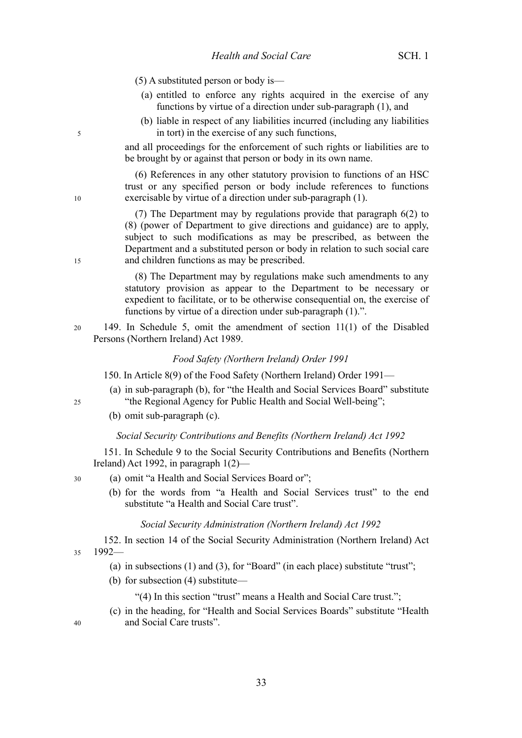(5) A substituted person or body is—

- (a) entitled to enforce any rights acquired in the exercise of any functions by virtue of a direction under sub-paragraph (1), and
- (b) liable in respect of any liabilities incurred (including any liabilities in tort) in the exercise of any such functions,

and all proceedings for the enforcement of such rights or liabilities are to be brought by or against that person or body in its own name.

(6) References in any other statutory provision to functions of an HSC trust or any specified person or body include references to functions exercisable by virtue of a direction under sub-paragraph (1).

(7) The Department may by regulations provide that paragraph 6(2) to (8) (power of Department to give directions and guidance) are to apply, subject to such modifications as may be prescribed, as between the Department and a substituted person or body in relation to such social care and children functions as may be prescribed.

(8) The Department may by regulations make such amendments to any statutory provision as appear to the Department to be necessary or expedient to facilitate, or to be otherwise consequential on, the exercise of functions by virtue of a direction under sub-paragraph (1).".

149. In Schedule 5, omit the amendment of section 11(1) of the Disabled Persons (Northern Ireland) Act 1989.

#### *Food Safety (Northern Ireland) Order 1991*

150. In Article 8(9) of the Food Safety (Northern Ireland) Order 1991—

- (a) in sub-paragraph (b), for "the Health and Social Services Board" substitute "the Regional Agency for Public Health and Social Well-being";
- (b) omit sub-paragraph (c).

#### *Social Security Contributions and Benefits (Northern Ireland) Act 1992*

151. In Schedule 9 to the Social Security Contributions and Benefits (Northern Ireland) Act 1992, in paragraph 1(2)—

(a) omit "a Health and Social Services Board or";

(b) for the words from "a Health and Social Services trust" to the end substitute "a Health and Social Care trust".

#### *Social Security Administration (Northern Ireland) Act 1992*

152. In section 14 of the Social Security Administration (Northern Ireland) Act 1992— 35

- (a) in subsections (1) and (3), for "Board" (in each place) substitute "trust";
- (b) for subsection (4) substitute—

"(4) In this section "trust" means a Health and Social Care trust.";

(c) in the heading, for "Health and Social Services Boards" substitute "Health and Social Care trusts".

10

15

5

20

30

40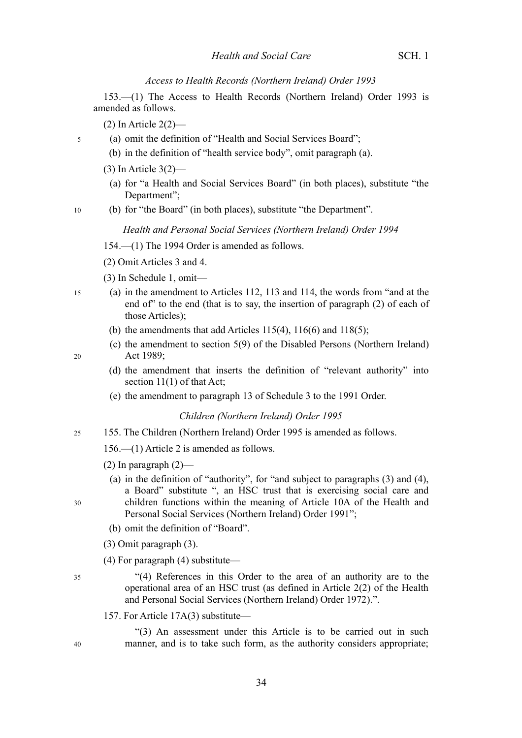#### *Access to Health Records (Northern Ireland) Order 1993*

153.—(1) The Access to Health Records (Northern Ireland) Order 1993 is amended as follows.

(2) In Article 2(2)—

- (a) omit the definition of "Health and Social Services Board";
	- (b) in the definition of "health service body", omit paragraph (a).
	- (3) In Article 3(2)—
		- (a) for "a Health and Social Services Board" (in both places), substitute "the Department";
- (b) for "the Board" (in both places), substitute "the Department". 10

#### *Health and Personal Social Services (Northern Ireland) Order 1994*

- 154.—(1) The 1994 Order is amended as follows.
- (2) Omit Articles 3 and 4.
- (3) In Schedule 1, omit—
- (a) in the amendment to Articles 112, 113 and 114, the words from "and at the end of" to the end (that is to say, the insertion of paragraph (2) of each of those Articles); 15
	- (b) the amendments that add Articles  $115(4)$ ,  $116(6)$  and  $118(5)$ ;
	- (c) the amendment to section 5(9) of the Disabled Persons (Northern Ireland) Act 1989;

20

5

- (d) the amendment that inserts the definition of "relevant authority" into section 11(1) of that Act;
- (e) the amendment to paragraph 13 of Schedule 3 to the 1991 Order.

#### *Children (Northern Ireland) Order 1995*

155. The Children (Northern Ireland) Order 1995 is amended as follows. 25

156.—(1) Article 2 is amended as follows.

- (2) In paragraph  $(2)$ 
	- (a) in the definition of "authority", for "and subject to paragraphs (3) and (4), a Board" substitute ", an HSC trust that is exercising social care and children functions within the meaning of Article 10A of the Health and Personal Social Services (Northern Ireland) Order 1991";
	- (b) omit the definition of "Board".
- (3) Omit paragraph (3).
- (4) For paragraph (4) substitute—

35

30

- "(4) References in this Order to the area of an authority are to the operational area of an HSC trust (as defined in Article 2(2) of the Health and Personal Social Services (Northern Ireland) Order 1972).".
- 157. For Article 17A(3) substitute—

"(3) An assessment under this Article is to be carried out in such manner, and is to take such form, as the authority considers appropriate;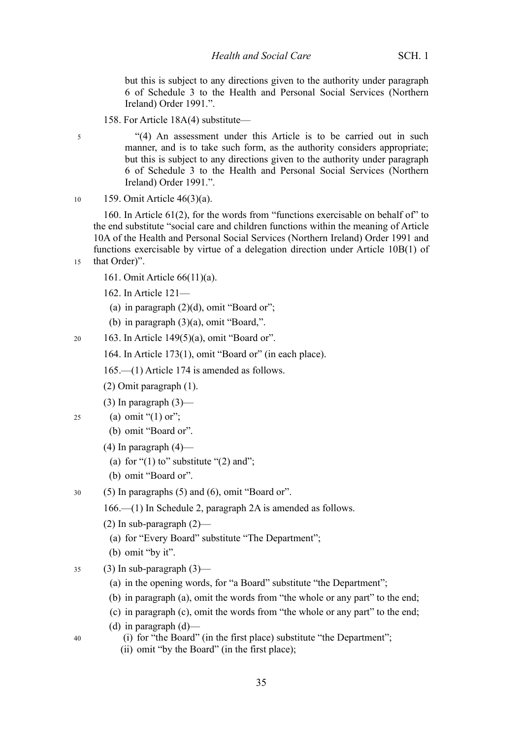but this is subject to any directions given to the authority under paragraph 6 of Schedule 3 to the Health and Personal Social Services (Northern Ireland) Order 1991.".

158. For Article 18A(4) substitute—

"(4) An assessment under this Article is to be carried out in such manner, and is to take such form, as the authority considers appropriate; but this is subject to any directions given to the authority under paragraph 6 of Schedule 3 to the Health and Personal Social Services (Northern Ireland) Order 1991.".

159. Omit Article 46(3)(a). 10

5

15

40

160. In Article 61(2), for the words from "functions exercisable on behalf of" to the end substitute "social care and children functions within the meaning of Article 10A of the Health and Personal Social Services (Northern Ireland) Order 1991 and functions exercisable by virtue of a delegation direction under Article 10B(1) of that Order)".

- 161. Omit Article 66(11)(a).
	- 162. In Article 121—
	- (a) in paragraph  $(2)(d)$ , omit "Board or";
	- (b) in paragraph (3)(a), omit "Board,".
- 163. In Article 149(5)(a), omit "Board or". 20
	- 164. In Article 173(1), omit "Board or" (in each place).
	- 165.—(1) Article 174 is amended as follows.
	- (2) Omit paragraph (1).
	- $(3)$  In paragraph  $(3)$ —
- (a) omit " $(1)$  or";  $25$ 
	- (b) omit "Board or".
	- $(4)$  In paragraph  $(4)$ 
		- (a) for " $(1)$  to" substitute " $(2)$  and";
	- (b) omit "Board or".
- (5) In paragraphs (5) and (6), omit "Board or". 30
	- 166.—(1) In Schedule 2, paragraph 2A is amended as follows.
	- (2) In sub-paragraph  $(2)$ 
		- (a) for "Every Board" substitute "The Department";
	- (b) omit "by it".
- $(3)$  In sub-paragraph  $(3)$  35
	- (a) in the opening words, for "a Board" substitute "the Department";
	- (b) in paragraph (a), omit the words from "the whole or any part" to the end;
	- (c) in paragraph (c), omit the words from "the whole or any part" to the end;
	- (d) in paragraph  $(d)$ 
		- (i) for "the Board" (in the first place) substitute "the Department";
		- (ii) omit "by the Board" (in the first place);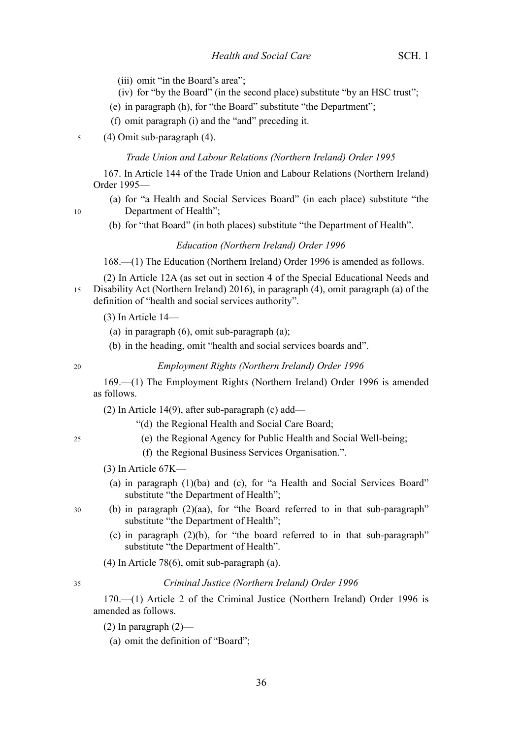- (iii) omit "in the Board's area";
- (iv) for "by the Board" (in the second place) substitute "by an HSC trust";
- (e) in paragraph (h), for "the Board" substitute "the Department";
- (f) omit paragraph (i) and the "and" preceding it.
- (4) Omit sub-paragraph (4). 5

### *Trade Union and Labour Relations (Northern Ireland) Order 1995*

167. In Article 144 of the Trade Union and Labour Relations (Northern Ireland) Order 1995—

- (a) for "a Health and Social Services Board" (in each place) substitute "the Department of Health";
- (b) for "that Board" (in both places) substitute "the Department of Health".

#### *Education (Northern Ireland) Order 1996*

168.—(1) The Education (Northern Ireland) Order 1996 is amended as follows.

(2) In Article 12A (as set out in section 4 of the Special Educational Needs and Disability Act (Northern Ireland) 2016), in paragraph (4), omit paragraph (a) of the definition of "health and social services authority". 15

(3) In Article 14—

- (a) in paragraph (6), omit sub-paragraph (a);
- (b) in the heading, omit "health and social services boards and".

20

10

*Employment Rights (Northern Ireland) Order 1996*

169.—(1) The Employment Rights (Northern Ireland) Order 1996 is amended as follows.

(2) In Article 14(9), after sub-paragraph (c) add—

"(d) the Regional Health and Social Care Board;

 $25$ 

30

- (e) the Regional Agency for Public Health and Social Well-being;
- (f) the Regional Business Services Organisation.".
- (3) In Article 67K—
	- (a) in paragraph (1)(ba) and (c), for "a Health and Social Services Board" substitute "the Department of Health";
- (b) in paragraph (2)(aa), for "the Board referred to in that sub-paragraph" substitute "the Department of Health";
	- (c) in paragraph (2)(b), for "the board referred to in that sub-paragraph" substitute "the Department of Health".
	- (4) In Article 78(6), omit sub-paragraph (a).

35

#### *Criminal Justice (Northern Ireland) Order 1996*

170.—(1) Article 2 of the Criminal Justice (Northern Ireland) Order 1996 is amended as follows.

- $(2)$  In paragraph  $(2)$ 
	- (a) omit the definition of "Board";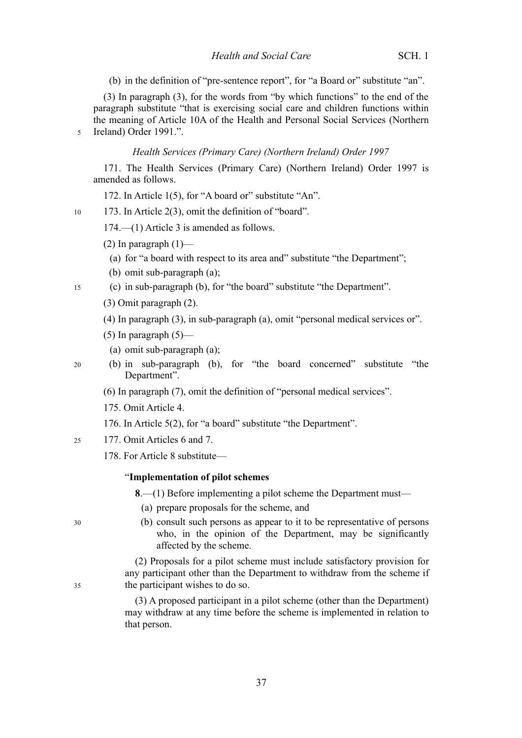(b) in the definition of "pre-sentence report", for "a Board or" substitute "an".

(3) In paragraph (3), for the words from "by which functions" to the end of the paragraph substitute "that is exercising social care and children functions within the meaning of Article 10A of the Health and Personal Social Services (Northern 5 Ireland) Order 1991.".

#### *Health Services (Primary Care) (Northern Ireland) Order 1997*

171. The Health Services (Primary Care) (Northern Ireland) Order 1997 is amended as follows.

172. In Article 1(5), for "A board or" substitute "An".

173. In Article 2(3), omit the definition of "board".

174.—(1) Article 3 is amended as follows.

- (2) In paragraph  $(1)$ 
	- (a) for "a board with respect to its area and" substitute "the Department";
- (b) omit sub-paragraph (a);

(c) in sub-paragraph (b), for "the board" substitute "the Department". 15

- (3) Omit paragraph (2).
- (4) In paragraph (3), in sub-paragraph (a), omit "personal medical services or".
- (5) In paragraph  $(5)$ —
- (a) omit sub-paragraph (a);
- (b) in sub-paragraph (b), for "the board concerned" substitute "the Department".

(6) In paragraph (7), omit the definition of "personal medical services".

- 175. Omit Article 4.
- 176. In Article 5(2), for "a board" substitute "the Department".
- 177. Omit Articles 6 and 7. 25
	- 178. For Article 8 substitute—

#### "**Implementation of pilot schemes**

**8**.—(1) Before implementing a pilot scheme the Department must—

- (a) prepare proposals for the scheme, and
- (b) consult such persons as appear to it to be representative of persons who, in the opinion of the Department, may be significantly affected by the scheme.

(2) Proposals for a pilot scheme must include satisfactory provision for any participant other than the Department to withdraw from the scheme if the participant wishes to do so.

(3) A proposed participant in a pilot scheme (other than the Department) may withdraw at any time before the scheme is implemented in relation to that person.

30

35

10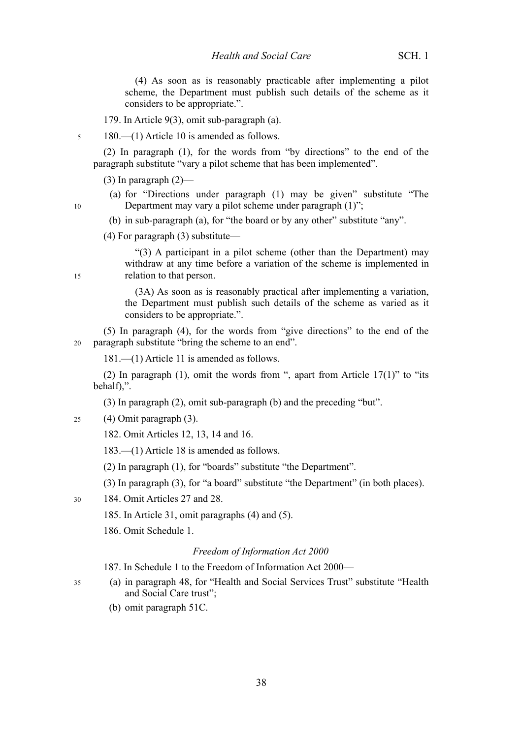(4) As soon as is reasonably practicable after implementing a pilot scheme, the Department must publish such details of the scheme as it considers to be appropriate.".

179. In Article 9(3), omit sub-paragraph (a).

180.—(1) Article 10 is amended as follows.

(2) In paragraph (1), for the words from "by directions" to the end of the paragraph substitute "vary a pilot scheme that has been implemented".

(3) In paragraph  $(2)$ —

5

10

15

35

(a) for "Directions under paragraph (1) may be given" substitute "The Department may vary a pilot scheme under paragraph (1)";

(b) in sub-paragraph (a), for "the board or by any other" substitute "any".

(4) For paragraph (3) substitute—

"(3) A participant in a pilot scheme (other than the Department) may withdraw at any time before a variation of the scheme is implemented in relation to that person.

(3A) As soon as is reasonably practical after implementing a variation, the Department must publish such details of the scheme as varied as it considers to be appropriate.".

(5) In paragraph (4), for the words from "give directions" to the end of the paragraph substitute "bring the scheme to an end". 20

181.—(1) Article 11 is amended as follows.

(2) In paragraph (1), omit the words from ", apart from Article  $17(1)$ " to "its behalf),".

(3) In paragraph (2), omit sub-paragraph (b) and the preceding "but".

(4) Omit paragraph (3).  $25$ 

182. Omit Articles 12, 13, 14 and 16.

183.—(1) Article 18 is amended as follows.

(2) In paragraph (1), for "boards" substitute "the Department".

(3) In paragraph (3), for "a board" substitute "the Department" (in both places).

- 184. Omit Articles 27 and 28. 30
	- 185. In Article 31, omit paragraphs (4) and (5).
	- 186. Omit Schedule 1.

#### *Freedom of Information Act 2000*

187. In Schedule 1 to the Freedom of Information Act 2000—

- (a) in paragraph 48, for "Health and Social Services Trust" substitute "Health and Social Care trust";
	- (b) omit paragraph 51C.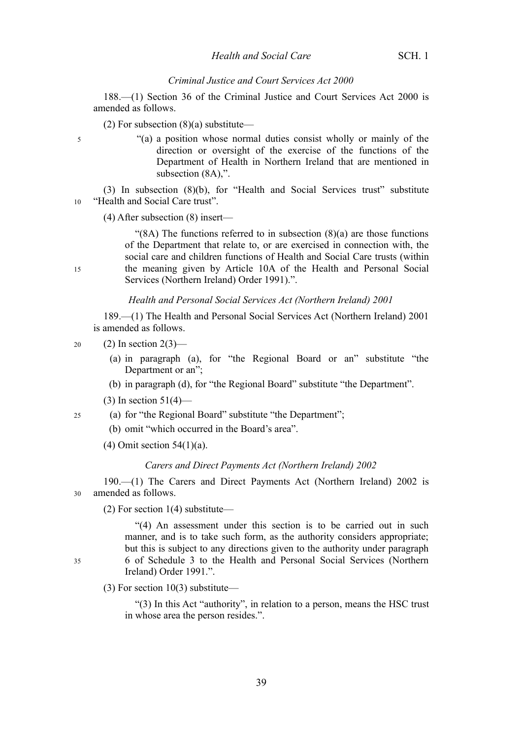#### *Criminal Justice and Court Services Act 2000*

188.—(1) Section 36 of the Criminal Justice and Court Services Act 2000 is amended as follows.

(2) For subsection  $(8)(a)$  substitute—

"(a) a position whose normal duties consist wholly or mainly of the direction or oversight of the exercise of the functions of the Department of Health in Northern Ireland that are mentioned in subsection (8A),".

(3) In subsection (8)(b), for "Health and Social Services trust" substitute "Health and Social Care trust". 10

(4) After subsection (8) insert—

"(8A) The functions referred to in subsection  $(8)(a)$  are those functions of the Department that relate to, or are exercised in connection with, the social care and children functions of Health and Social Care trusts (within the meaning given by Article 10A of the Health and Personal Social Services (Northern Ireland) Order 1991).".

*Health and Personal Social Services Act (Northern Ireland) 2001*

189.—(1) The Health and Personal Social Services Act (Northern Ireland) 2001 is amended as follows.

 $(2)$  In section  $2(3)$ —  $20$ 

- (a) in paragraph (a), for "the Regional Board or an" substitute "the Department or an";
- (b) in paragraph (d), for "the Regional Board" substitute "the Department".
- $(3)$  In section  $51(4)$ —
- (a) for "the Regional Board" substitute "the Department"; 25
	- (b) omit "which occurred in the Board's area".
	- (4) Omit section 54(1)(a).

#### *Carers and Direct Payments Act (Northern Ireland) 2002*

190.—(1) The Carers and Direct Payments Act (Northern Ireland) 2002 is amended as follows. 30

(2) For section 1(4) substitute—

"(4) An assessment under this section is to be carried out in such manner, and is to take such form, as the authority considers appropriate; but this is subject to any directions given to the authority under paragraph 6 of Schedule 3 to the Health and Personal Social Services (Northern Ireland) Order 1991.".

(3) For section 10(3) substitute—

"(3) In this Act "authority", in relation to a person, means the HSC trust in whose area the person resides.".

15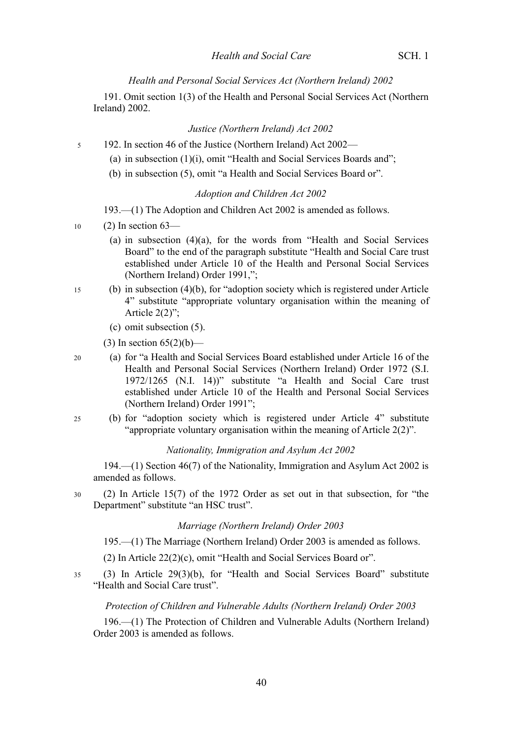*Health and Personal Social Services Act (Northern Ireland) 2002*

191. Omit section 1(3) of the Health and Personal Social Services Act (Northern Ireland) 2002.

*Justice (Northern Ireland) Act 2002*

192. In section 46 of the Justice (Northern Ireland) Act 2002— 5

- (a) in subsection (1)(i), omit "Health and Social Services Boards and";
- (b) in subsection (5), omit "a Health and Social Services Board or".

#### *Adoption and Children Act 2002*

193.—(1) The Adoption and Children Act 2002 is amended as follows.

- $(2)$  In section 63— 10
	- (a) in subsection  $(4)(a)$ , for the words from "Health and Social Services Board" to the end of the paragraph substitute "Health and Social Care trust established under Article 10 of the Health and Personal Social Services (Northern Ireland) Order 1991,";
- (b) in subsection (4)(b), for "adoption society which is registered under Article 4" substitute "appropriate voluntary organisation within the meaning of Article 2(2)"; 15
	- (c) omit subsection (5).
	- (3) In section  $65(2)(b)$ —

(a) for "a Health and Social Services Board established under Article 16 of the Health and Personal Social Services (Northern Ireland) Order 1972 (S.I. 1972/1265 (N.I. 14))" substitute "a Health and Social Care trust established under Article 10 of the Health and Personal Social Services (Northern Ireland) Order 1991"; 20

(b) for "adoption society which is registered under Article 4" substitute "appropriate voluntary organisation within the meaning of Article 2(2)". 25

*Nationality, Immigration and Asylum Act 2002*

194.—(1) Section 46(7) of the Nationality, Immigration and Asylum Act 2002 is amended as follows.

(2) In Article 15(7) of the 1972 Order as set out in that subsection, for "the Department" substitute "an HSC trust". 30

#### *Marriage (Northern Ireland) Order 2003*

195.—(1) The Marriage (Northern Ireland) Order 2003 is amended as follows.

(2) In Article 22(2)(c), omit "Health and Social Services Board or".

(3) In Article 29(3)(b), for "Health and Social Services Board" substitute "Health and Social Care trust". 35

#### *Protection of Children and Vulnerable Adults (Northern Ireland) Order 2003*

196.—(1) The Protection of Children and Vulnerable Adults (Northern Ireland) Order 2003 is amended as follows.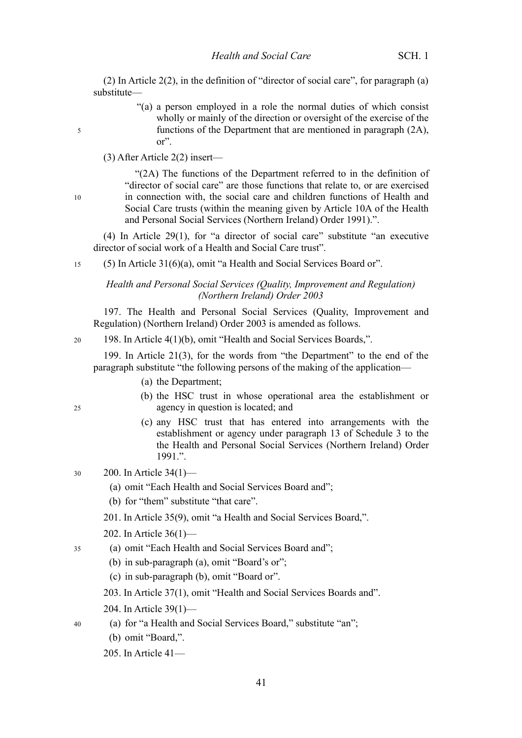(2) In Article 2(2), in the definition of "director of social care", for paragraph (a) substitute—

> "(a) a person employed in a role the normal duties of which consist wholly or mainly of the direction or oversight of the exercise of the functions of the Department that are mentioned in paragraph (2A), or".

(3) After Article 2(2) insert—

10

5

"(2A) The functions of the Department referred to in the definition of "director of social care" are those functions that relate to, or are exercised in connection with, the social care and children functions of Health and Social Care trusts (within the meaning given by Article 10A of the Health and Personal Social Services (Northern Ireland) Order 1991).".

(4) In Article 29(1), for "a director of social care" substitute "an executive director of social work of a Health and Social Care trust".

(5) In Article 31(6)(a), omit "a Health and Social Services Board or". 15

## *Health and Personal Social Services (Quality, Improvement and Regulation) (Northern Ireland) Order 2003*

197. The Health and Personal Social Services (Quality, Improvement and Regulation) (Northern Ireland) Order 2003 is amended as follows.

198. In Article 4(1)(b), omit "Health and Social Services Boards,".

199. In Article 21(3), for the words from "the Department" to the end of the paragraph substitute "the following persons of the making of the application—

- (a) the Department;
- (b) the HSC trust in whose operational area the establishment or agency in question is located; and
- (c) any HSC trust that has entered into arrangements with the establishment or agency under paragraph 13 of Schedule 3 to the the Health and Personal Social Services (Northern Ireland) Order 1991.".
- 200. In Article 34(1)— 30
	- (a) omit "Each Health and Social Services Board and";
	- (b) for "them" substitute "that care".
	- 201. In Article 35(9), omit "a Health and Social Services Board,".
	- 202. In Article 36(1)—
- (a) omit "Each Health and Social Services Board and"; 35
	- (b) in sub-paragraph (a), omit "Board's or";
	- (c) in sub-paragraph (b), omit "Board or".
	- 203. In Article 37(1), omit "Health and Social Services Boards and".
	- 204. In Article 39(1)—
	- (a) for "a Health and Social Services Board," substitute "an";
		- (b) omit "Board,".
		- 205. In Article 41—

20

25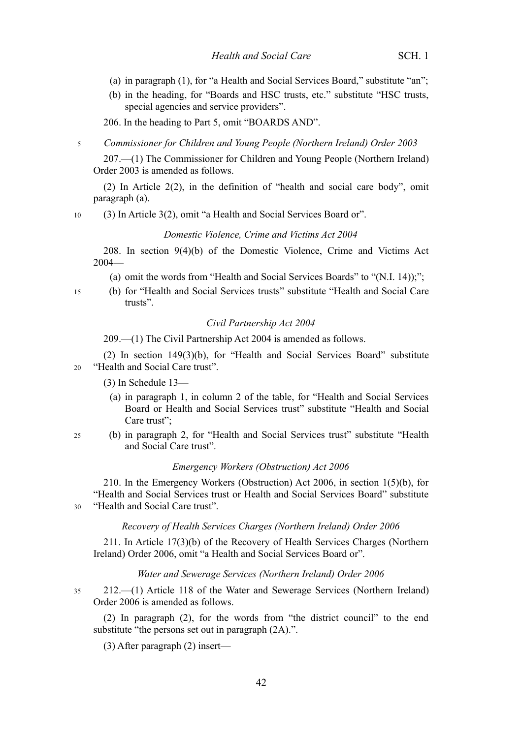- (a) in paragraph (1), for "a Health and Social Services Board," substitute "an";
- (b) in the heading, for "Boards and HSC trusts, etc." substitute "HSC trusts, special agencies and service providers".

206. In the heading to Part 5, omit "BOARDS AND".

#### *Commissioner for Children and Young People (Northern Ireland) Order 2003* 5

207.—(1) The Commissioner for Children and Young People (Northern Ireland) Order 2003 is amended as follows.

(2) In Article 2(2), in the definition of "health and social care body", omit paragraph (a).

(3) In Article 3(2), omit "a Health and Social Services Board or". 10

#### *Domestic Violence, Crime and Victims Act 2004*

208. In section 9(4)(b) of the Domestic Violence, Crime and Victims Act 2004—

(a) omit the words from "Health and Social Services Boards" to "(N.I. 14));";

(b) for "Health and Social Services trusts" substitute "Health and Social Care trusts".

#### *Civil Partnership Act 2004*

209.—(1) The Civil Partnership Act 2004 is amended as follows.

(2) In section 149(3)(b), for "Health and Social Services Board" substitute "Health and Social Care trust". 20

(3) In Schedule 13—

15

- (a) in paragraph 1, in column 2 of the table, for "Health and Social Services Board or Health and Social Services trust" substitute "Health and Social Care trust";
- (b) in paragraph 2, for "Health and Social Services trust" substitute "Health and Social Care trust". 25

#### *Emergency Workers (Obstruction) Act 2006*

210. In the Emergency Workers (Obstruction) Act 2006, in section 1(5)(b), for "Health and Social Services trust or Health and Social Services Board" substitute "Health and Social Care trust". 30

#### *Recovery of Health Services Charges (Northern Ireland) Order 2006*

211. In Article 17(3)(b) of the Recovery of Health Services Charges (Northern Ireland) Order 2006, omit "a Health and Social Services Board or".

#### *Water and Sewerage Services (Northern Ireland) Order 2006*

212.—(1) Article 118 of the Water and Sewerage Services (Northern Ireland) Order 2006 is amended as follows. 35

(2) In paragraph (2), for the words from "the district council" to the end substitute "the persons set out in paragraph (2A).".

(3) After paragraph (2) insert—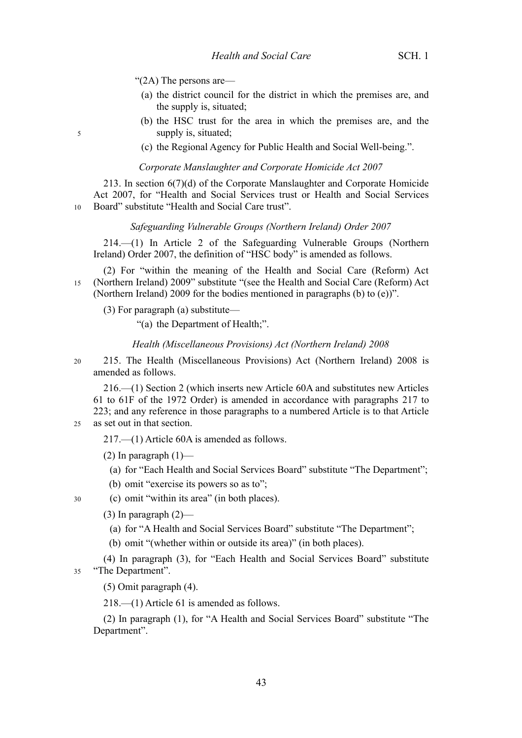"(2A) The persons are—

- (a) the district council for the district in which the premises are, and the supply is, situated;
- (b) the HSC trust for the area in which the premises are, and the supply is, situated;
- (c) the Regional Agency for Public Health and Social Well-being.".

#### *Corporate Manslaughter and Corporate Homicide Act 2007*

213. In section 6(7)(d) of the Corporate Manslaughter and Corporate Homicide Act 2007, for "Health and Social Services trust or Health and Social Services Board" substitute "Health and Social Care trust". 10

#### *Safeguarding Vulnerable Groups (Northern Ireland) Order 2007*

214.—(1) In Article 2 of the Safeguarding Vulnerable Groups (Northern Ireland) Order 2007, the definition of "HSC body" is amended as follows.

(2) For "within the meaning of the Health and Social Care (Reform) Act (Northern Ireland) 2009" substitute "(see the Health and Social Care (Reform) Act (Northern Ireland) 2009 for the bodies mentioned in paragraphs (b) to (e))". 15

(3) For paragraph (a) substitute—

"(a) the Department of Health;".

#### *Health (Miscellaneous Provisions) Act (Northern Ireland) 2008*

215. The Health (Miscellaneous Provisions) Act (Northern Ireland) 2008 is amended as follows. 20

216.—(1) Section 2 (which inserts new Article 60A and substitutes new Articles 61 to 61F of the 1972 Order) is amended in accordance with paragraphs [217](#page-46-0) to [223;](#page--1-0) and any reference in those paragraphs to a numbered Article is to that Article as set out in that section.

<span id="page-46-0"></span>217.—(1) Article 60A is amended as follows.

- (2) In paragraph  $(1)$ 
	- (a) for "Each Health and Social Services Board" substitute "The Department";
- (b) omit "exercise its powers so as to";
- (c) omit "within its area" (in both places).
	- $(3)$  In paragraph  $(2)$ 
		- (a) for "A Health and Social Services Board" substitute "The Department";
		- (b) omit "(whether within or outside its area)" (in both places).

(4) In paragraph (3), for "Each Health and Social Services Board" substitute "The Department". 35

(5) Omit paragraph (4).

218.—(1) Article 61 is amended as follows.

(2) In paragraph (1), for "A Health and Social Services Board" substitute "The Department".

30

 $25$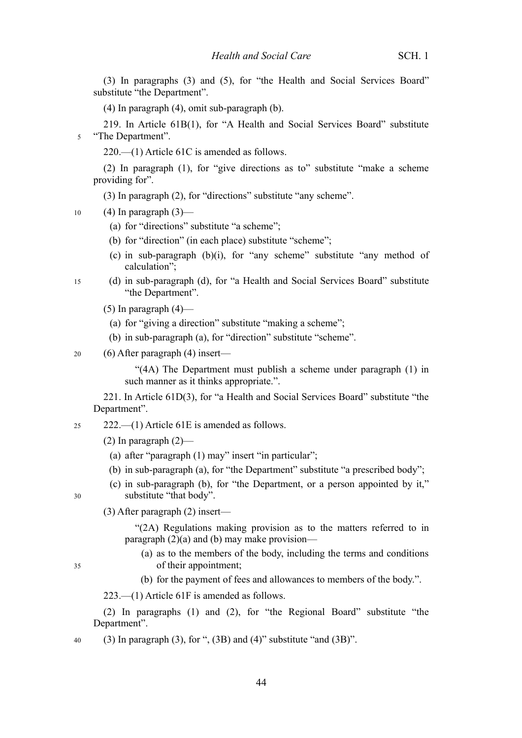(3) In paragraphs (3) and (5), for "the Health and Social Services Board" substitute "the Department".

(4) In paragraph (4), omit sub-paragraph (b).

219. In Article 61B(1), for "A Health and Social Services Board" substitute "The Department". 5

220.—(1) Article 61C is amended as follows.

(2) In paragraph (1), for "give directions as to" substitute "make a scheme providing for".

(3) In paragraph (2), for "directions" substitute "any scheme".

 $(4)$  In paragraph  $(3)$ — 10

- (a) for "directions" substitute "a scheme";
- (b) for "direction" (in each place) substitute "scheme";
- (c) in sub-paragraph (b)(i), for "any scheme" substitute "any method of calculation";
- (d) in sub-paragraph (d), for "a Health and Social Services Board" substitute "the Department". 15
	- $(5)$  In paragraph  $(4)$ 
		- (a) for "giving a direction" substitute "making a scheme";
		- (b) in sub-paragraph (a), for "direction" substitute "scheme".

(6) After paragraph (4) insert— 20

> "(4A) The Department must publish a scheme under paragraph (1) in such manner as it thinks appropriate.".

221. In Article 61D(3), for "a Health and Social Services Board" substitute "the Department".

222.—(1) Article 61E is amended as follows. 25

(2) In paragraph  $(2)$ —

- (a) after "paragraph (1) may" insert "in particular";
- (b) in sub-paragraph (a), for "the Department" substitute "a prescribed body";
- (c) in sub-paragraph (b), for "the Department, or a person appointed by it," substitute "that body".

30

35

(3) After paragraph (2) insert—

"(2A) Regulations making provision as to the matters referred to in paragraph (2)(a) and (b) may make provision—

(a) as to the members of the body, including the terms and conditions of their appointment;

(b) for the payment of fees and allowances to members of the body.".

223.—(1) Article 61F is amended as follows.

(2) In paragraphs (1) and (2), for "the Regional Board" substitute "the Department".

(3) In paragraph (3), for ", (3B) and (4)" substitute "and (3B)". 40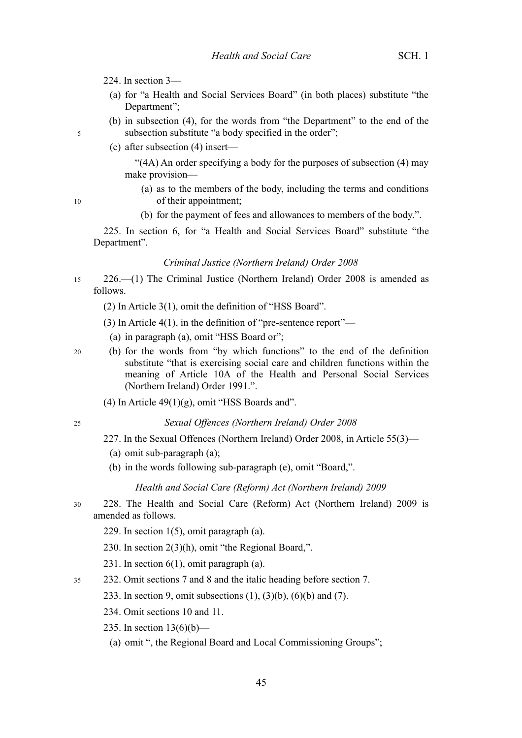- 224. In section 3—
	- (a) for "a Health and Social Services Board" (in both places) substitute "the Department";
	- (b) in subsection (4), for the words from "the Department" to the end of the subsection substitute "a body specified in the order";
	- (c) after subsection (4) insert—

"(4A) An order specifying a body for the purposes of subsection (4) may make provision—

- (a) as to the members of the body, including the terms and conditions of their appointment;
- (b) for the payment of fees and allowances to members of the body.".

225. In section 6, for "a Health and Social Services Board" substitute "the Department".

#### *Criminal Justice (Northern Ireland) Order 2008*

- 226.—(1) The Criminal Justice (Northern Ireland) Order 2008 is amended as follows. 15
	- (2) In Article 3(1), omit the definition of "HSS Board".
	- (3) In Article 4(1), in the definition of "pre-sentence report"—
		- (a) in paragraph (a), omit "HSS Board or";
	- (b) for the words from "by which functions" to the end of the definition substitute "that is exercising social care and children functions within the meaning of Article 10A of the Health and Personal Social Services (Northern Ireland) Order 1991.".
		- (4) In Article  $49(1)(g)$ , omit "HSS Boards and".

25

20

5

10

#### *Sexual Offences (Northern Ireland) Order 2008*

- 227. In the Sexual Offences (Northern Ireland) Order 2008, in Article 55(3)—
	- (a) omit sub-paragraph (a);
	- (b) in the words following sub-paragraph (e), omit "Board,".

#### *Health and Social Care (Reform) Act (Northern Ireland) 2009*

- 228. The Health and Social Care (Reform) Act (Northern Ireland) 2009 is amended as follows. 30
	- 229. In section 1(5), omit paragraph (a).
	- 230. In section 2(3)(h), omit "the Regional Board,".
	- 231. In section 6(1), omit paragraph (a).
- 232. Omit sections 7 and 8 and the italic heading before section 7. 35
	- 233. In section 9, omit subsections (1), (3)(b), (6)(b) and (7).
		- 234. Omit sections 10 and 11.
	- 235. In section  $13(6)(b)$ 
		- (a) omit ", the Regional Board and Local Commissioning Groups";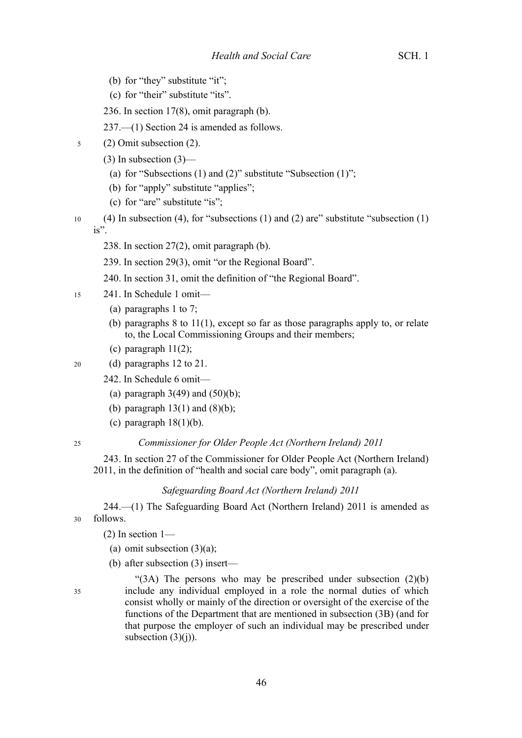- (b) for "they" substitute "it";
- (c) for "their" substitute "its".
- 236. In section 17(8), omit paragraph (b).

237.—(1) Section 24 is amended as follows.

- (2) Omit subsection (2). 5
	- (3) In subsection (3)—
		- (a) for "Subsections  $(1)$  and  $(2)$ " substitute "Subsection  $(1)$ ";
		- (b) for "apply" substitute "applies";
		- (c) for "are" substitute "is";
- (4) In subsection (4), for "subsections (1) and (2) are" substitute "subsection (1) is". 10
	- 238. In section 27(2), omit paragraph (b).
	- 239. In section 29(3), omit "or the Regional Board".
	- 240. In section 31, omit the definition of "the Regional Board".
- 241. In Schedule 1 omit— 15
	- (a) paragraphs 1 to 7;
	- (b) paragraphs 8 to 11(1), except so far as those paragraphs apply to, or relate to, the Local Commissioning Groups and their members;
	- (c) paragraph 11(2);
- (d) paragraphs 12 to 21. 20
	- 242. In Schedule 6 omit—
		- (a) paragraph  $3(49)$  and  $(50)(b)$ ;
		- (b) paragraph  $13(1)$  and  $(8)(b)$ ;
		- (c) paragraph  $18(1)(b)$ .

25

#### *Commissioner for Older People Act (Northern Ireland) 2011*

243. In section 27 of the Commissioner for Older People Act (Northern Ireland) 2011, in the definition of "health and social care body", omit paragraph (a).

#### *Safeguarding Board Act (Northern Ireland) 2011*

244.—(1) The Safeguarding Board Act (Northern Ireland) 2011 is amended as follows. 30

- $(2)$  In section 1—
- (a) omit subsection  $(3)(a)$ ;
- (b) after subsection (3) insert—
- 35

" $(3A)$  The persons who may be prescribed under subsection  $(2)(b)$ include any individual employed in a role the normal duties of which consist wholly or mainly of the direction or oversight of the exercise of the functions of the Department that are mentioned in subsection (3B) (and for that purpose the employer of such an individual may be prescribed under subsection  $(3)(j)$ ).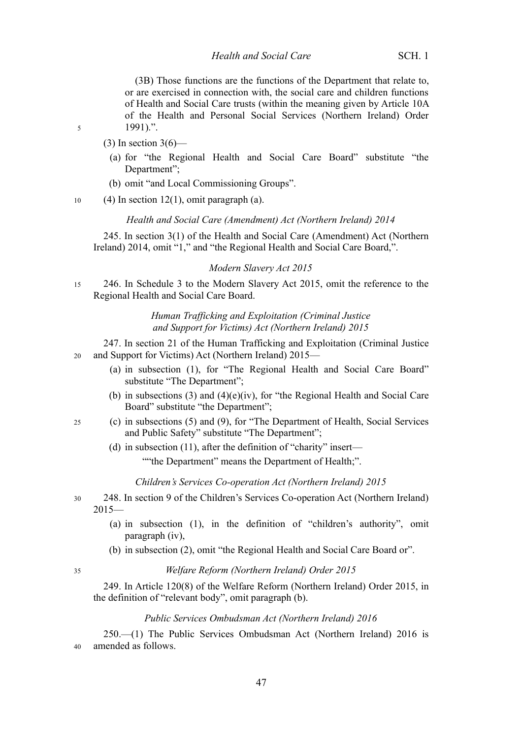(3B) Those functions are the functions of the Department that relate to, or are exercised in connection with, the social care and children functions of Health and Social Care trusts (within the meaning given by Article 10A of the Health and Personal Social Services (Northern Ireland) Order 1991).".

5

 $(3)$  In section 3(6)—

- (a) for "the Regional Health and Social Care Board" substitute "the Department";
- (b) omit "and Local Commissioning Groups".

 $(4)$  In section 12(1), omit paragraph (a). 10

#### *Health and Social Care (Amendment) Act (Northern Ireland) 2014*

245. In section 3(1) of the Health and Social Care (Amendment) Act (Northern Ireland) 2014, omit "1," and "the Regional Health and Social Care Board,".

#### *Modern Slavery Act 2015*

246. In Schedule 3 to the Modern Slavery Act 2015, omit the reference to the Regional Health and Social Care Board. 15

> *Human Trafficking and Exploitation (Criminal Justice and Support for Victims) Act (Northern Ireland) 2015*

- 247. In section 21 of the Human Trafficking and Exploitation (Criminal Justice and Support for Victims) Act (Northern Ireland) 2015—  $20$ 
	- (a) in subsection (1), for "The Regional Health and Social Care Board" substitute "The Department";
	- (b) in subsections (3) and (4)(e)(iv), for "the Regional Health and Social Care Board" substitute "the Department";
- (c) in subsections (5) and (9), for "The Department of Health, Social Services and Public Safety" substitute "The Department"; 25
	- (d) in subsection (11), after the definition of "charity" insert— ""the Department" means the Department of Health;".

*Children's Services Co-operation Act (Northern Ireland) 2015*

- 248. In section 9 of the Children's Services Co-operation Act (Northern Ireland)  $2015-$ 30
	- (a) in subsection (1), in the definition of "children's authority", omit paragraph (iv),
	- (b) in subsection (2), omit "the Regional Health and Social Care Board or".

## *Welfare Reform (Northern Ireland) Order 2015*

249. In Article 120(8) of the Welfare Reform (Northern Ireland) Order 2015, in the definition of "relevant body", omit paragraph (b).

#### *Public Services Ombudsman Act (Northern Ireland) 2016*

250.—(1) The Public Services Ombudsman Act (Northern Ireland) 2016 is amended as follows. 40

<sup>35</sup>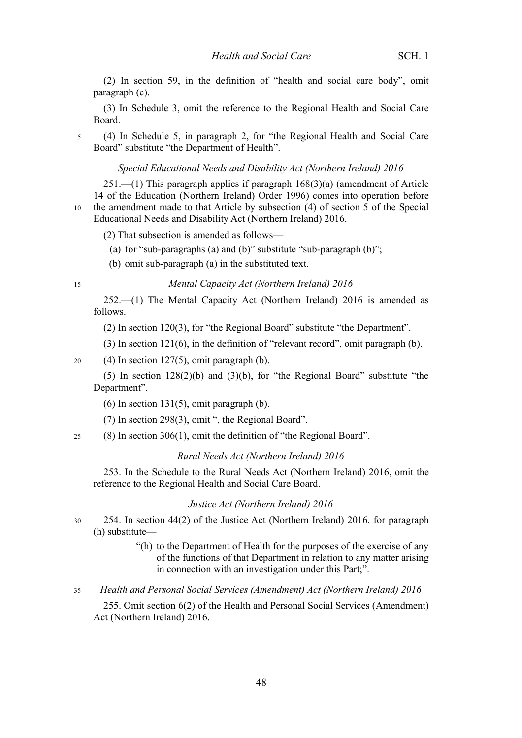(2) In section 59, in the definition of "health and social care body", omit paragraph (c).

(3) In Schedule 3, omit the reference to the Regional Health and Social Care Board.

(4) In Schedule 5, in paragraph 2, for "the Regional Health and Social Care Board" substitute "the Department of Health". 5

*Special Educational Needs and Disability Act (Northern Ireland) 2016*

251.—(1) This paragraph applies if paragraph 168(3)(a) (amendment of Article 14 of the Education (Northern Ireland) Order 1996) comes into operation before the amendment made to that Article by subsection (4) of section 5 of the Special Educational Needs and Disability Act (Northern Ireland) 2016. 10

(2) That subsection is amended as follows—

(a) for "sub-paragraphs (a) and (b)" substitute "sub-paragraph (b)";

(b) omit sub-paragraph (a) in the substituted text.

15

### *Mental Capacity Act (Northern Ireland) 2016*

252.—(1) The Mental Capacity Act (Northern Ireland) 2016 is amended as follows.

(2) In section 120(3), for "the Regional Board" substitute "the Department".

(3) In section 121(6), in the definition of "relevant record", omit paragraph (b).

 $(4)$  In section 127(5), omit paragraph (b). 20

(5) In section  $128(2)(b)$  and  $(3)(b)$ , for "the Regional Board" substitute "the Department".

 $(6)$  In section 131(5), omit paragraph  $(b)$ .

- (7) In section 298(3), omit ", the Regional Board".
- (8) In section 306(1), omit the definition of "the Regional Board".  $25$

#### *Rural Needs Act (Northern Ireland) 2016*

253. In the Schedule to the Rural Needs Act (Northern Ireland) 2016, omit the reference to the Regional Health and Social Care Board.

#### *Justice Act (Northern Ireland) 2016*

254. In section 44(2) of the Justice Act (Northern Ireland) 2016, for paragraph (h) substitute— 30

> "(h) to the Department of Health for the purposes of the exercise of any of the functions of that Department in relation to any matter arising in connection with an investigation under this Part;".

*Health and Personal Social Services (Amendment) Act (Northern Ireland) 2016* 35

255. Omit section 6(2) of the Health and Personal Social Services (Amendment) Act (Northern Ireland) 2016.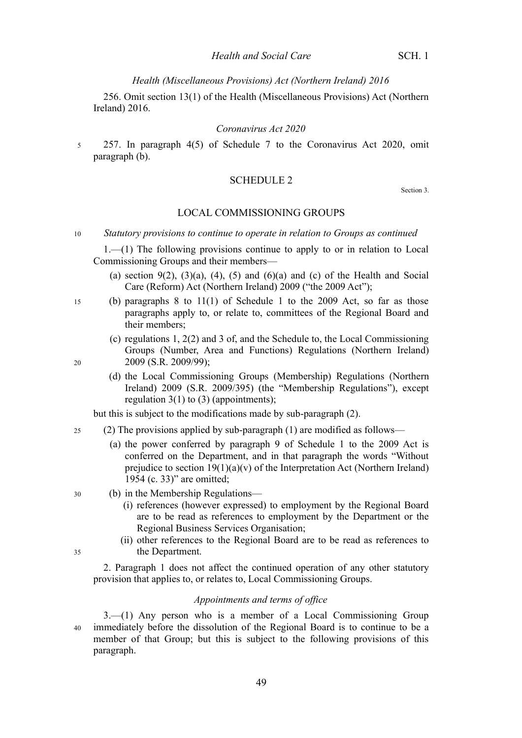256. Omit section 13(1) of the Health (Miscellaneous Provisions) Act (Northern Ireland) 2016.

#### *Coronavirus Act 2020*

257. In paragraph 4(5) of Schedule 7 to the Coronavirus Act 2020, omit paragraph (b). 5

### SCHEDULE 2

Section [3.](#page-4-0)

#### LOCAL COMMISSIONING GROUPS

1.—(1) The following provisions continue to apply to or in relation to Local Commissioning Groups and their members—

- (a) section 9(2), (3)(a), (4), (5) and (6)(a) and (c) of the Health and Social Care (Reform) Act (Northern Ireland) 2009 ("the 2009 Act");
- (b) paragraphs 8 to 11(1) of Schedule 1 to the 2009 Act, so far as those paragraphs apply to, or relate to, committees of the Regional Board and their members;
	- (c) regulations 1, 2(2) and 3 of, and the Schedule to, the Local Commissioning Groups (Number, Area and Functions) Regulations (Northern Ireland) 2009 (S.R. 2009/99);
	- (d) the Local Commissioning Groups (Membership) Regulations (Northern Ireland) 2009 (S.R. 2009/395) (the "Membership Regulations"), except regulation  $3(1)$  to  $(3)$  (appointments);

but this is subject to the modifications made by sub-paragraph (2).

- (2) The provisions applied by sub-paragraph (1) are modified as follows—  $25$ 
	- (a) the power conferred by paragraph 9 of Schedule 1 to the 2009 Act is conferred on the Department, and in that paragraph the words "Without prejudice to section  $19(1)(a)(v)$  of the Interpretation Act (Northern Ireland) 1954 (c. 33)" are omitted;
	- (b) in the Membership Regulations—
		- (i) references (however expressed) to employment by the Regional Board are to be read as references to employment by the Department or the Regional Business Services Organisation;
		- (ii) other references to the Regional Board are to be read as references to the Department.

2. Paragraph 1 does not affect the continued operation of any other statutory provision that applies to, or relates to, Local Commissioning Groups.

### *Appointments and terms of office*

3.—(1) Any person who is a member of a Local Commissioning Group immediately before the dissolution of the Regional Board is to continue to be a member of that Group; but this is subject to the following provisions of this paragraph. 40

30

35

15

*Statutory provisions to continue to operate in relation to Groups as continued* 10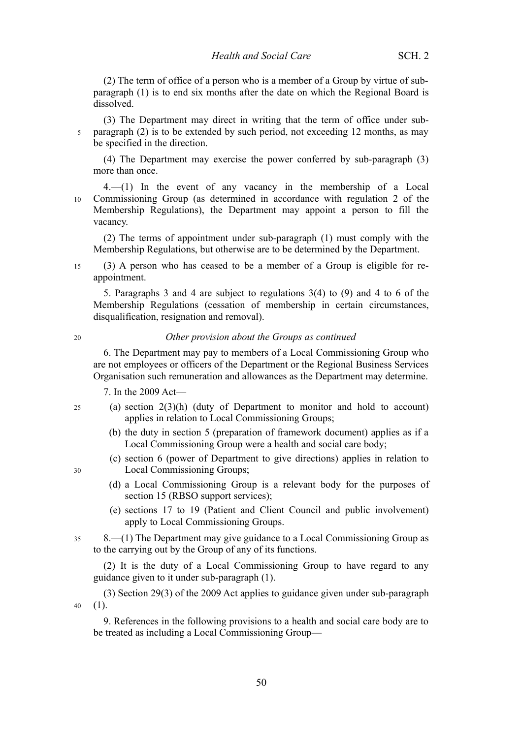(2) The term of office of a person who is a member of a Group by virtue of subparagraph (1) is to end six months after the date on which the Regional Board is dissolved.

(3) The Department may direct in writing that the term of office under subparagraph (2) is to be extended by such period, not exceeding 12 months, as may 5 be specified in the direction.

(4) The Department may exercise the power conferred by sub-paragraph (3) more than once.

4.—(1) In the event of any vacancy in the membership of a Local Commissioning Group (as determined in accordance with regulation 2 of the Membership Regulations), the Department may appoint a person to fill the vacancy. 10

(2) The terms of appointment under sub-paragraph (1) must comply with the Membership Regulations, but otherwise are to be determined by the Department.

(3) A person who has ceased to be a member of a Group is eligible for reappointment. 15

5. Paragraphs 3 and 4 are subject to regulations 3(4) to (9) and 4 to 6 of the Membership Regulations (cessation of membership in certain circumstances, disqualification, resignation and removal).

 $20$ 

#### *Other provision about the Groups as continued*

6. The Department may pay to members of a Local Commissioning Group who are not employees or officers of the Department or the Regional Business Services Organisation such remuneration and allowances as the Department may determine.

7. In the 2009 Act—

- (a) section 2(3)(h) (duty of Department to monitor and hold to account) applies in relation to Local Commissioning Groups; 25
	- (b) the duty in section 5 (preparation of framework document) applies as if a Local Commissioning Group were a health and social care body;
	- (c) section 6 (power of Department to give directions) applies in relation to Local Commissioning Groups;
	- (d) a Local Commissioning Group is a relevant body for the purposes of section 15 (RBSO support services);
	- (e) sections 17 to 19 (Patient and Client Council and public involvement) apply to Local Commissioning Groups.
- 8.—(1) The Department may give guidance to a Local Commissioning Group as to the carrying out by the Group of any of its functions. 35

(2) It is the duty of a Local Commissioning Group to have regard to any guidance given to it under sub-paragraph (1).

(3) Section 29(3) of the 2009 Act applies to guidance given under sub-paragraph (1). 40

9. References in the following provisions to a health and social care body are to be treated as including a Local Commissioning Group—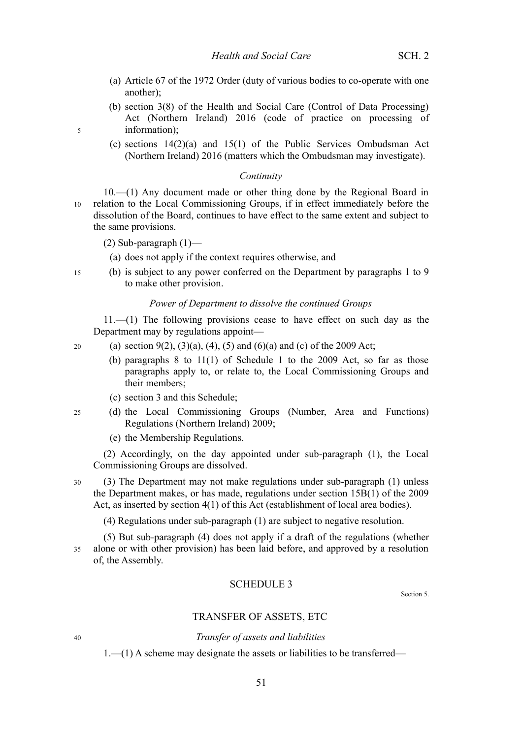- (a) Article 67 of the 1972 Order (duty of various bodies to co-operate with one another);
- (b) section 3(8) of the Health and Social Care (Control of Data Processing) Act (Northern Ireland) 2016 (code of practice on processing of information);
- (c) sections 14(2)(a) and 15(1) of the Public Services Ombudsman Act (Northern Ireland) 2016 (matters which the Ombudsman may investigate).

#### *Continuity*

10.—(1) Any document made or other thing done by the Regional Board in relation to the Local Commissioning Groups, if in effect immediately before the dissolution of the Board, continues to have effect to the same extent and subject to the same provisions. 10

- (2) Sub-paragraph  $(1)$ 
	- (a) does not apply if the context requires otherwise, and
- (b) is subject to any power conferred on the Department by paragraphs 1 to 9 to make other provision. 15

#### *Power of Department to dissolve the continued Groups*

11.—(1) The following provisions cease to have effect on such day as the Department may by regulations appoint—

(a) section  $9(2)$ ,  $(3)(a)$ ,  $(4)$ ,  $(5)$  and  $(6)(a)$  and  $(c)$  of the 2009 Act;

- (b) paragraphs 8 to 11(1) of Schedule 1 to the 2009 Act, so far as those paragraphs apply to, or relate to, the Local Commissioning Groups and their members;
- (c) section [3](#page-4-0) and this Schedule;
- (d) the Local Commissioning Groups (Number, Area and Functions) Regulations (Northern Ireland) 2009; 25
	- (e) the Membership Regulations.

(2) Accordingly, on the day appointed under sub-paragraph (1), the Local Commissioning Groups are dissolved.

(3) The Department may not make regulations under sub-paragraph (1) unless the Department makes, or has made, regulations under section 15B(1) of the 2009 Act, as inserted by section [4\(](#page-4-3)1) of this Act (establishment of local area bodies). 30

(4) Regulations under sub-paragraph (1) are subject to negative resolution.

(5) But sub-paragraph (4) does not apply if a draft of the regulations (whether alone or with other provision) has been laid before, and approved by a resolution of, the Assembly. 35

#### SCHEDULE 3

Section [5.](#page-7-1)

#### TRANSFER OF ASSETS, ETC

### *Transfer of assets and liabilities*

1.—(1) A scheme may designate the assets or liabilities to be transferred—

5

20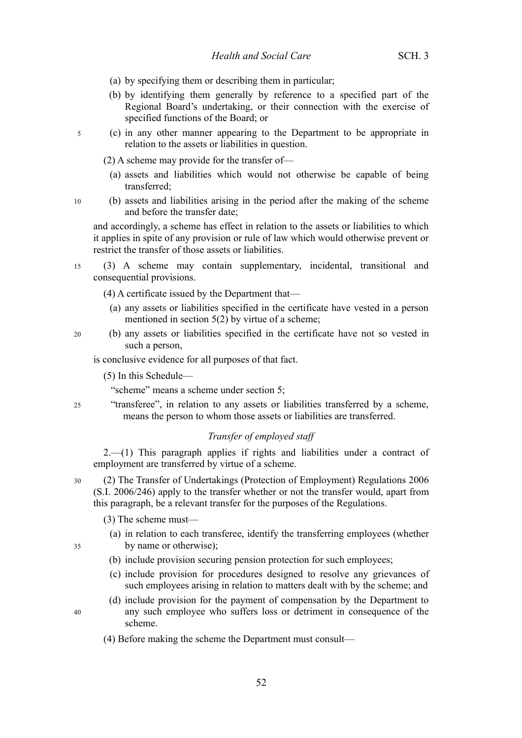- (a) by specifying them or describing them in particular;
- (b) by identifying them generally by reference to a specified part of the Regional Board's undertaking, or their connection with the exercise of specified functions of the Board; or
- (c) in any other manner appearing to the Department to be appropriate in relation to the assets or liabilities in question. 5
	- (2) A scheme may provide for the transfer of—
		- (a) assets and liabilities which would not otherwise be capable of being transferred;
- (b) assets and liabilities arising in the period after the making of the scheme and before the transfer date; 10

and accordingly, a scheme has effect in relation to the assets or liabilities to which it applies in spite of any provision or rule of law which would otherwise prevent or restrict the transfer of those assets or liabilities.

(3) A scheme may contain supplementary, incidental, transitional and consequential provisions. 15

(4) A certificate issued by the Department that—

- (a) any assets or liabilities specified in the certificate have vested in a person mentioned in section [5\(](#page-7-1)2) by virtue of a scheme;
- (b) any assets or liabilities specified in the certificate have not so vested in such a person,

is conclusive evidence for all purposes of that fact.

(5) In this Schedule—

"scheme" means a scheme under section [5;](#page-7-1)

"transferee", in relation to any assets or liabilities transferred by a scheme, means the person to whom those assets or liabilities are transferred.

### *Transfer of employed staff*

2.—(1) This paragraph applies if rights and liabilities under a contract of employment are transferred by virtue of a scheme.

(2) The Transfer of Undertakings (Protection of Employment) Regulations 2006 (S.I. 2006/246) apply to the transfer whether or not the transfer would, apart from this paragraph, be a relevant transfer for the purposes of the Regulations.

(3) The scheme must—

- (a) in relation to each transferee, identify the transferring employees (whether by name or otherwise);
- (b) include provision securing pension protection for such employees;
- (c) include provision for procedures designed to resolve any grievances of such employees arising in relation to matters dealt with by the scheme; and
- (d) include provision for the payment of compensation by the Department to any such employee who suffers loss or detriment in consequence of the scheme.
- (4) Before making the scheme the Department must consult—

 $25$ 

20

30

35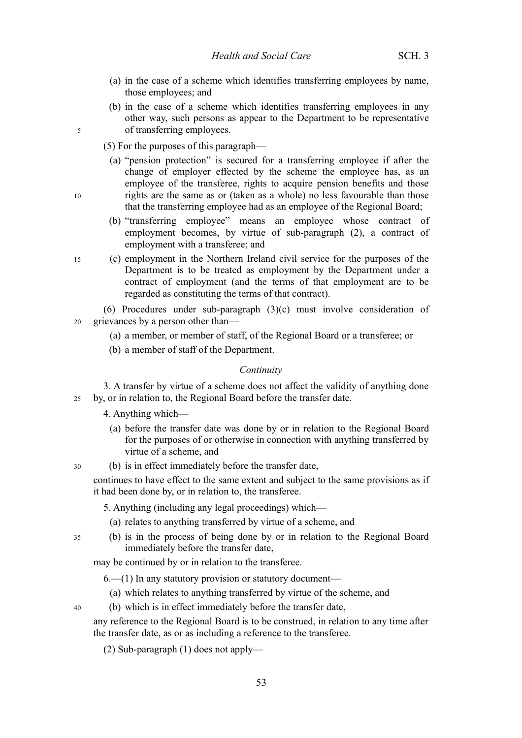- (a) in the case of a scheme which identifies transferring employees by name, those employees; and
- (b) in the case of a scheme which identifies transferring employees in any other way, such persons as appear to the Department to be representative of transferring employees.

(5) For the purposes of this paragraph—

5

10

30

40

- (a) "pension protection" is secured for a transferring employee if after the change of employer effected by the scheme the employee has, as an employee of the transferee, rights to acquire pension benefits and those rights are the same as or (taken as a whole) no less favourable than those that the transferring employee had as an employee of the Regional Board;
- (b) "transferring employee" means an employee whose contract of employment becomes, by virtue of sub-paragraph (2), a contract of employment with a transferee; and
- (c) employment in the Northern Ireland civil service for the purposes of the Department is to be treated as employment by the Department under a contract of employment (and the terms of that employment are to be regarded as constituting the terms of that contract). 15

(6) Procedures under sub-paragraph (3)(c) must involve consideration of grievances by a person other than— 20

- (a) a member, or member of staff, of the Regional Board or a transferee; or
- (b) a member of staff of the Department.

#### *Continuity*

3. A transfer by virtue of a scheme does not affect the validity of anything done by, or in relation to, the Regional Board before the transfer date. 25

4. Anything which—

- (a) before the transfer date was done by or in relation to the Regional Board for the purposes of or otherwise in connection with anything transferred by virtue of a scheme, and
- (b) is in effect immediately before the transfer date,

continues to have effect to the same extent and subject to the same provisions as if it had been done by, or in relation to, the transferee.

5. Anything (including any legal proceedings) which—

- (a) relates to anything transferred by virtue of a scheme, and
- (b) is in the process of being done by or in relation to the Regional Board immediately before the transfer date, 35

may be continued by or in relation to the transferee.

- 6.—(1) In any statutory provision or statutory document—
	- (a) which relates to anything transferred by virtue of the scheme, and
- (b) which is in effect immediately before the transfer date,
- any reference to the Regional Board is to be construed, in relation to any time after the transfer date, as or as including a reference to the transferee.

(2) Sub-paragraph (1) does not apply—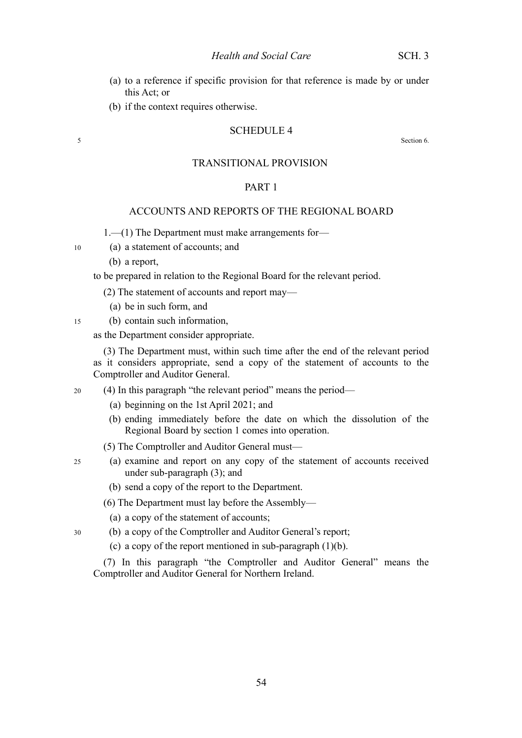- (a) to a reference if specific provision for that reference is made by or under this Act; or
- (b) if the context requires otherwise.

#### SCHEDULE 4

Section [6.](#page-7-0)

#### TRANSITIONAL PROVISION

### PART 1

## ACCOUNTS AND REPORTS OF THE REGIONAL BOARD

1.—(1) The Department must make arrangements for—

- (a) a statement of accounts; and
	- (b) a report,

5

10

15

25

to be prepared in relation to the Regional Board for the relevant period.

(2) The statement of accounts and report may—

- (a) be in such form, and
- (b) contain such information,

as the Department consider appropriate.

(3) The Department must, within such time after the end of the relevant period as it considers appropriate, send a copy of the statement of accounts to the Comptroller and Auditor General.

- (4) In this paragraph "the relevant period" means the period— 20
	- (a) beginning on the 1st April 2021; and
	- (b) ending immediately before the date on which the dissolution of the Regional Board by section [1](#page-4-2) comes into operation.
	- (5) The Comptroller and Auditor General must—
	- (a) examine and report on any copy of the statement of accounts received under sub-paragraph (3); and
		- (b) send a copy of the report to the Department.

(6) The Department must lay before the Assembly—

- (a) a copy of the statement of accounts;
- (b) a copy of the Comptroller and Auditor General's report; 30
	- (c) a copy of the report mentioned in sub-paragraph  $(1)(b)$ .

(7) In this paragraph "the Comptroller and Auditor General" means the Comptroller and Auditor General for Northern Ireland.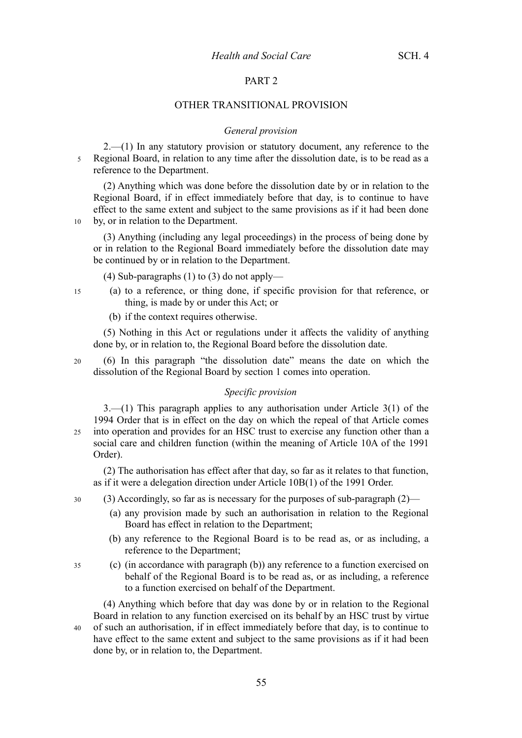### PART 2

#### OTHER TRANSITIONAL PROVISION

#### *General provision*

 $2$ —(1) In any statutory provision or statutory document, any reference to the Regional Board, in relation to any time after the dissolution date, is to be read as a reference to the Department. 5

(2) Anything which was done before the dissolution date by or in relation to the Regional Board, if in effect immediately before that day, is to continue to have effect to the same extent and subject to the same provisions as if it had been done by, or in relation to the Department.

10

(3) Anything (including any legal proceedings) in the process of being done by or in relation to the Regional Board immediately before the dissolution date may be continued by or in relation to the Department.

(4) Sub-paragraphs (1) to (3) do not apply—

- (a) to a reference, or thing done, if specific provision for that reference, or thing, is made by or under this Act; or 15
	- (b) if the context requires otherwise.

(5) Nothing in this Act or regulations under it affects the validity of anything done by, or in relation to, the Regional Board before the dissolution date.

 $20$ 

(6) In this paragraph "the dissolution date" means the date on which the dissolution of the Regional Board by section [1](#page-4-2) comes into operation.

#### *Specific provision*

3.—(1) This paragraph applies to any authorisation under Article 3(1) of the 1994 Order that is in effect on the day on which the repeal of that Article comes into operation and provides for an HSC trust to exercise any function other than a social care and children function (within the meaning of Article 10A of the 1991 Order). 25

(2) The authorisation has effect after that day, so far as it relates to that function, as if it were a delegation direction under Article 10B(1) of the 1991 Order.

- (3) Accordingly, so far as is necessary for the purposes of sub-paragraph (2)— 30
	- (a) any provision made by such an authorisation in relation to the Regional Board has effect in relation to the Department;
	- (b) any reference to the Regional Board is to be read as, or as including, a reference to the Department;
- (c) (in accordance with paragraph (b)) any reference to a function exercised on behalf of the Regional Board is to be read as, or as including, a reference to a function exercised on behalf of the Department. 35

(4) Anything which before that day was done by or in relation to the Regional Board in relation to any function exercised on its behalf by an HSC trust by virtue of such an authorisation, if in effect immediately before that day, is to continue to have effect to the same extent and subject to the same provisions as if it had been done by, or in relation to, the Department. 40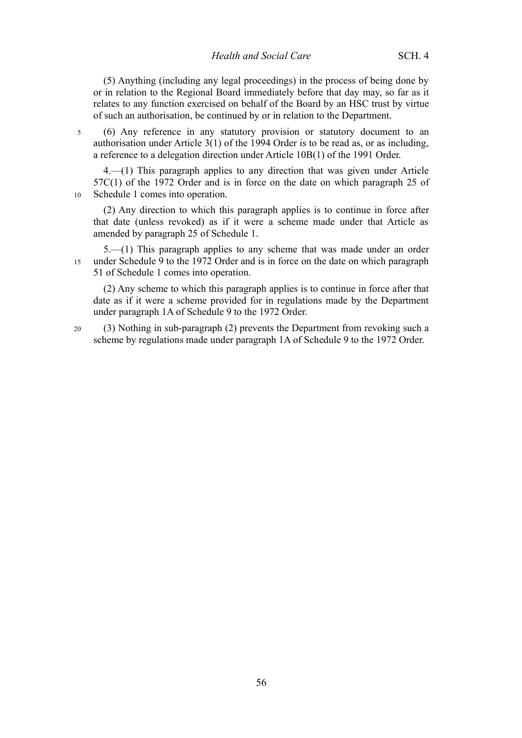(5) Anything (including any legal proceedings) in the process of being done by or in relation to the Regional Board immediately before that day may, so far as it relates to any function exercised on behalf of the Board by an HSC trust by virtue of such an authorisation, be continued by or in relation to the Department.

(6) Any reference in any statutory provision or statutory document to an authorisation under Article 3(1) of the 1994 Order is to be read as, or as including, a reference to a delegation direction under Article 10B(1) of the 1991 Order. 5

4.—(1) This paragraph applies to any direction that was given under Article 57C(1) of the 1972 Order and is in force on the date on which paragraph 25 of Schedule [1](#page-9-0) comes into operation.

10

(2) Any direction to which this paragraph applies is to continue in force after that date (unless revoked) as if it were a scheme made under that Article as amended by paragraph 25 of Schedule [1.](#page-9-0)

5.—(1) This paragraph applies to any scheme that was made under an order under Schedule 9 to the 1972 Order and is in force on the date on which paragraph 51 of Schedule [1](#page-9-0) comes into operation. 15

(2) Any scheme to which this paragraph applies is to continue in force after that date as if it were a scheme provided for in regulations made by the Department under paragraph 1A of Schedule 9 to the 1972 Order.

(3) Nothing in sub-paragraph (2) prevents the Department from revoking such a scheme by regulations made under paragraph 1A of Schedule 9 to the 1972 Order. 20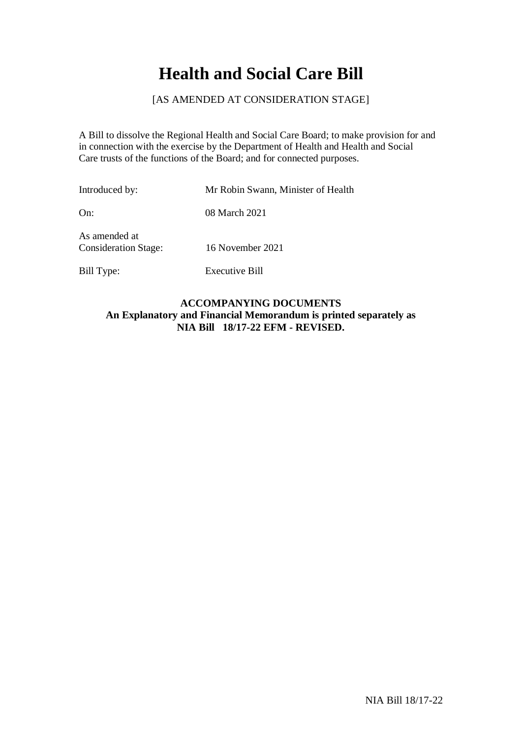# **Health and Social Care Bill**

## [AS AMENDED AT CONSIDERATION STAGE]

A Bill to dissolve the Regional Health and Social Care Board; to make provision for and in connection with the exercise by the Department of Health and Health and Social Care trusts of the functions of the Board; and for connected purposes.

| Introduced by:                               | Mr Robin Swann, Minister of Health |
|----------------------------------------------|------------------------------------|
| On:                                          | 08 March 2021                      |
| As amended at<br><b>Consideration Stage:</b> | 16 November 2021                   |
| Bill Type:                                   | Executive Bill                     |

## **ACCOMPANYING DOCUMENTS An Explanatory and Financial Memorandum is printed separately as NIA Bill 18/17-22 EFM - REVISED.**